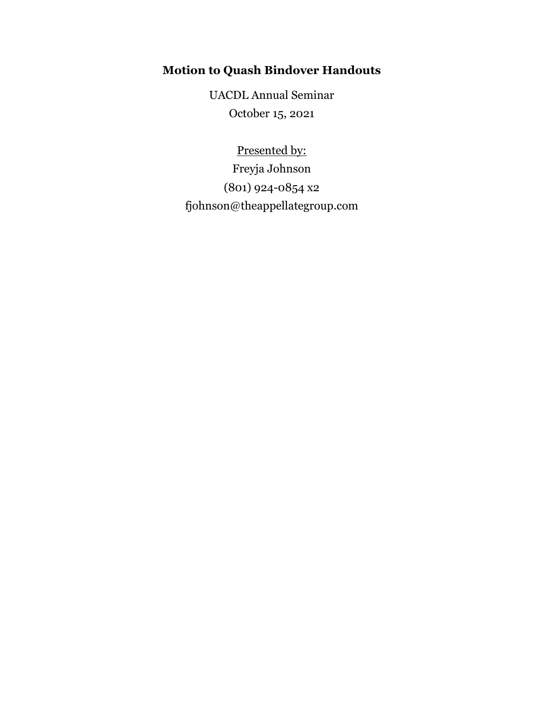# **Motion to Quash Bindover Handouts**

UACDL Annual Seminar October 15, 2021

Presented by: Freyja Johnson (801) 924-0854 x2 fjohnson@theappellategroup.com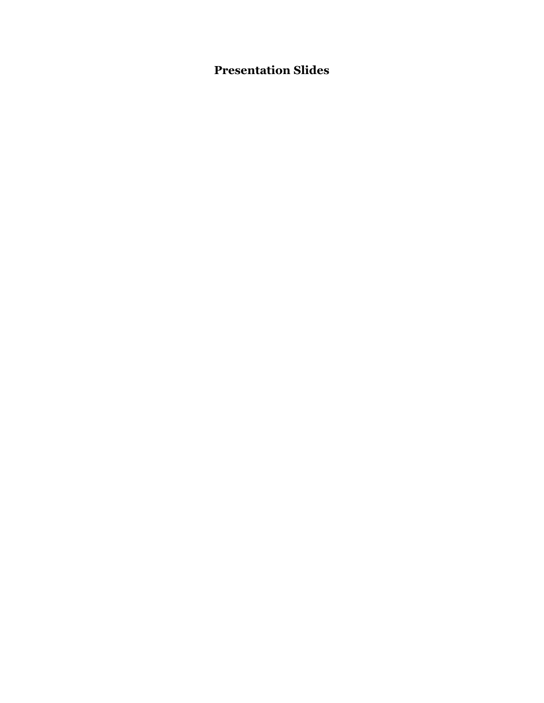# **Presentation Slides**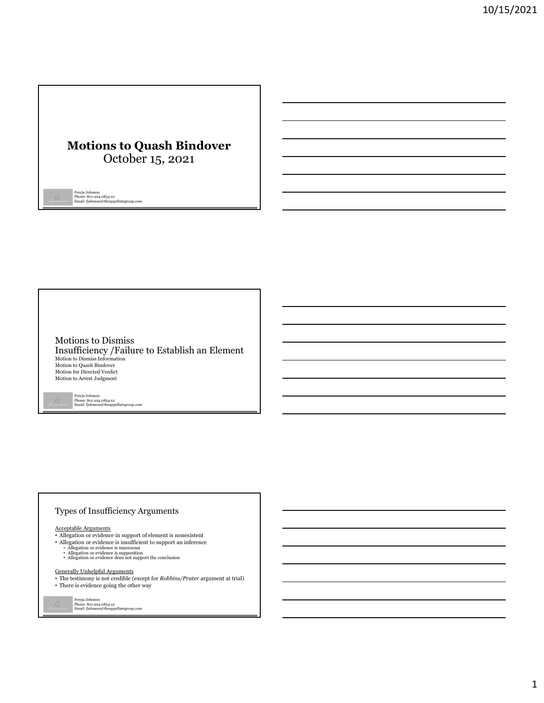# **Motions to Quash Bindover** October 15, 2021

Freyja Johnson Phone: 801.924.0854 x2 Email: fjohnson@theappellategroup.com

Motions to Dismiss Insufficiency /Failure to Establish an Element Motion to Dismiss Information Motion to Quash Bindover Motion for Directed Verdict Motion to Arrest Judgment

Freyja Johnson Phone: 801.924.0854 x2 Email: fjohnson@theappellategroup.com

#### Types of Insufficiency Arguments

- Acceptable Arguments<br>• Allegation or evidence in support of element is nonexistent
- Allegation or evidence is insufficient to support an inference<br>• Allegation or evidence is innocuous<br>• Allegation or evidence is supposition<br>• Allegation or evidence does not support the conclusion
	-
	-

#### Generally Unhelpful Arguments

• The testimony is not credible (except for *Robbins/Prater* argument at trial) • There is evidence going the other way

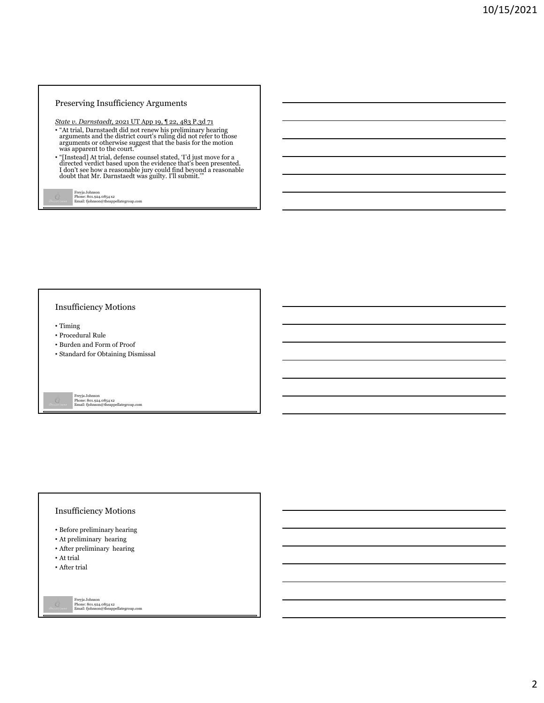#### Preserving Insufficiency Arguments

*State v. Darnstaedt*, 2021 UT App 19, ¶ 22, 483 P.3d 71

- "At trial, Darnstaedt did not renew his preliminary hearing arguments and the district court's ruling did not refer to those arguments or otherwise suggest that the basis for the motion was apparent to the court."
- "[Instead] At trial, defense counsel stated, 'I'd just move for a directed verdict based upon the evidence that's been presented.<br>I don't see how a reasonable jury could find beyond a reasonable doubt that Mr. Darnstaedt

```
Freyja Johnson
Phone: 801.924.0854 x2
Email: fjohnson@theappellategroup.com
```
#### Insufficiency Motions

- Timing
- Procedural Rule
- Burden and Form of Proof
- Standard for Obtaining Dismissal

Freyja Johnson Phone: 801.924.0854 x2 Email: fjohnson@theappellategroup.com

#### Insufficiency Motions

- Before preliminary hearing
- At preliminary hearing
- After preliminary hearing
- At trial
- After trial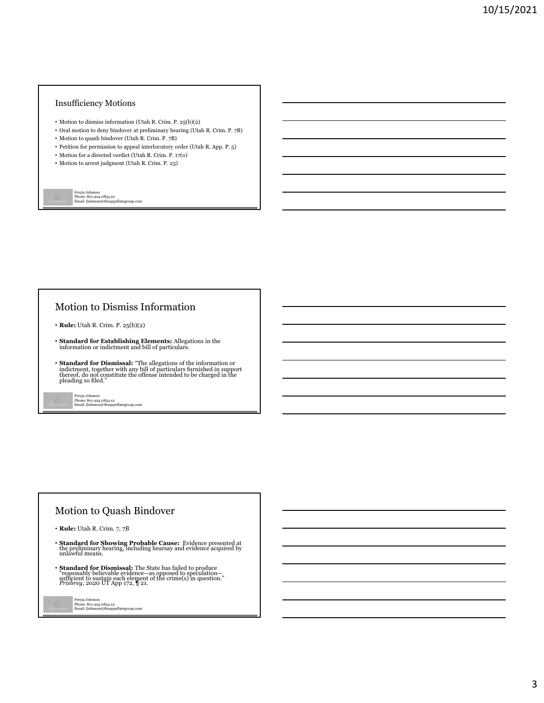#### Insufficiency Motions

- Motion to dismiss information (Utah R. Crim. P. 25(b)(2)
- Oral motion to deny bindover at preliminary hearing (Utah R. Crim. P. 7B)
- Motion to quash bindover (Utah R. Crim. P. 7B)
- $\bullet\,$  Petition for permission to appeal interlocutory order (Utah R. App. P. 5)
- Motion for a directed verdict (Utah R. Crim. P. 17(o)
- Motion to arrest judgment (Utah R. Crim. P. 23)

Freyja Johnson Phone: 801.924.0854 x2 Email: fjohnson@theappellategroup.com

# Motion to Dismiss Information

- **Rule:** Utah R. Crim. P. 25(b)(2)
- **Standard for Establishing Elements:** Allegations in the information or indictment and bill of particulars.
- **Standard for Dismissal:** "The allegations of the information or indictment, together with any bill of particulars furnished in support thereof, do not constitute the offense intended to be charged in the pleading so filed."
	- Freyja Johnson Phone: 801.924.0854 x2 Email: fjohnson@theappellategroup.com

# Motion to Quash Bindover

- **Rule:** Utah R. Crim. 7, 7B
- **Standard for Showing Probable Cause:** Evidence presented at the preliminary hearing, including hearsay and evidence acquired by unlawful means.
- **Standard for Dismissal:** The State has failed to produce "reasonably believable evidence—as opposed to speculation—<br>sufficient to sustain each element of the crime(s) in question."<br>*Prisbrey,* 2020 UT App 172,  $\P$  21.
	- Freyja Johnson Phone: 801.924.0854 x2 Email: fjohnson@theappellategroup.com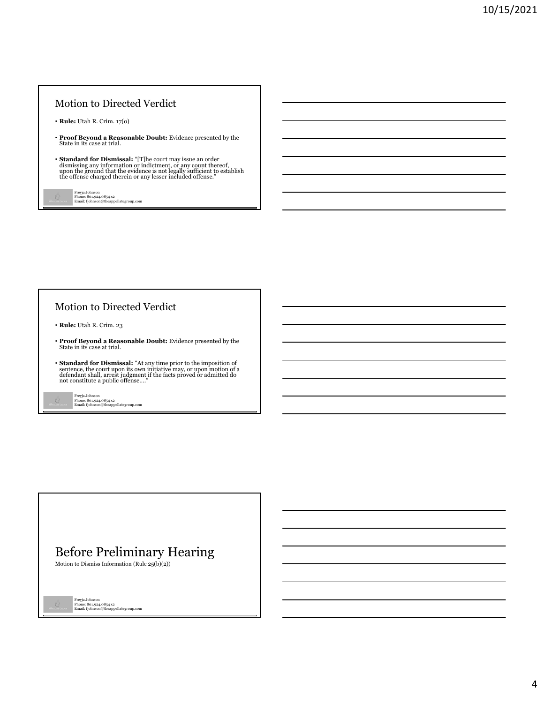# Motion to Directed Verdict

- **Rule:** Utah R. Crim. 17(o)
- **Proof Beyond a Reasonable Doubt:** Evidence presented by the State in its case at trial.
- $\bullet$  Standard for Dismissal: "[T]he court may issue an order dismissing any information or indictment, or any count thereof, upon the ground that the evidence is not legally sufficient to establish the offense charged the

Freyja Johnson Phone: 801.924.0854 x2 Email: fjohnson@theappellategroup.com

# Motion to Directed Verdict

- **Rule:** Utah R. Crim. 23
- **Proof Beyond a Reasonable Doubt:** Evidence presented by the State in its case at trial.
- **Standard for Dismissal:** "At any time prior to the imposition of sentence, the court upon its own initiative may, or upon motion of a defendant shall, arrest judgment if the facts proved or admitted do not constitute a
	- Freyja Johnson Phone: 801.924.0854 x2 Email: fjohnson@theappellategroup.com

# Before Preliminary Hearing

Motion to Dismiss Information (Rule  $25(b)(2)$ )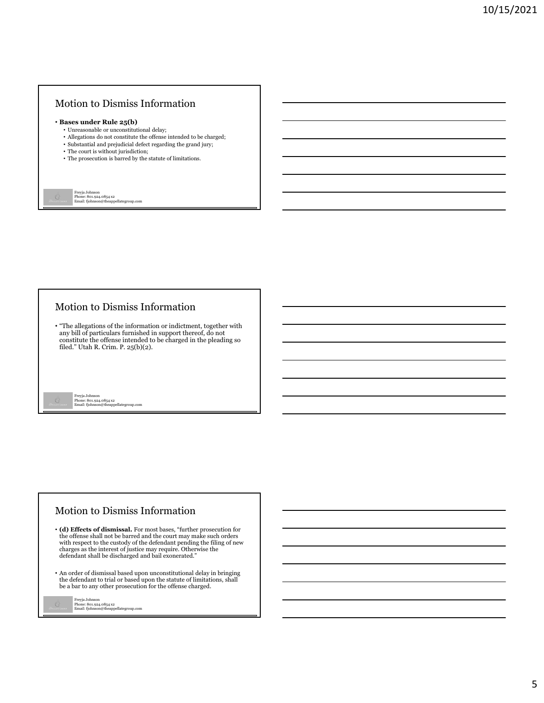## Motion to Dismiss Information

#### • **Bases under Rule 25(b)**

- Unreasonable or unconstitutional delay;
- Allegations do not constitute the offense intended to be charged; • Substantial and prejudicial defect regarding the grand jury;
- The court is without jurisdiction;
- The prosecution is barred by the statute of limitations.

Freyja Johnson Phone: 801.924.0854 x2 Email: fjohnson@theappellategroup.com

## Motion to Dismiss Information

• "The allegations of the information or indictment, together with any bill of particulars furnished in support thereof, do not constitute the offense intended to be charged in the pleading so filed." Utah R. Crim. P.  $25(b)(2)$ .

Freyja Johnson Phone: 801.924.0854 x2 Email: fjohnson@theappellategroup.com

## Motion to Dismiss Information

- **(d) Effects of dismissal.** For most bases, "further prosecution for the offense shall not be barred and the court may make such orders with respect to the custody of the defendant pending the filing of new charges as the interest of justice may require. Otherwise the defendant shall be discharged and bail exonerated."
- An order of dismissal based upon unconstitutional delay in bringing the defendant to trial or based upon the statute of limitations, shall be a bar to any other prosecution for the offense charged.

| Freyja Johnson                        |
|---------------------------------------|
| Phone: 801.924.0854 x2                |
| Email: fjohnson@theappellategroup.com |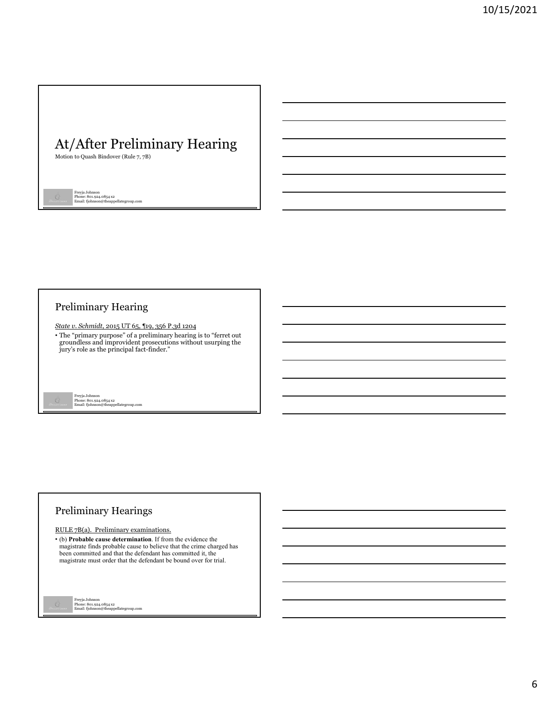# At/After Preliminary Hearing

Motion to Quash Bindover (Rule 7, 7B)

Freyja Johnson Phone: 801.924.0854 x2 Email: fjohnson@theappellategroup.com

# Preliminary Hearing

*State v. Schmidt*, 2015 UT 65, ¶19, 356 P.3d 1204

• The "primary purpose" of a preliminary hearing is to "ferret out groundless and improvident prosecutions without usurping the jury's role as the principal fact-finder."

Freyja Johnson Phone: 801.924.0854 x2 Email: fjohnson@theappellategroup.com

# Preliminary Hearings

#### RULE 7B(a). Preliminary examinations.

• (b) **Probable cause determination**. If from the evidence the magistrate finds probable cause to believe that the crime charged has been committed and that the defendant has committed it, the magistrate must order that the defendant be bound over for trial.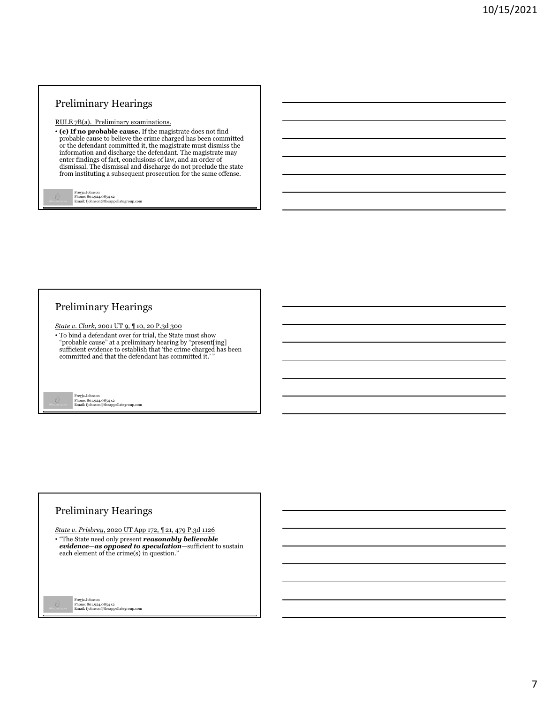RULE 7B(a). Preliminary examinations.

• **(c) If no probable cause.** If the magistrate does not find probable cause to believe the crime charged has been committed or the defendant committed it, the magistrate must dismiss the information and discharge the defendant. The magistrate may enter findings of fact, conclusions of law, and an order of dismissal. The dismissal and discharge do not preclude the state from instituting a subsequent prosecution for the same offense.

Freyja Johnson Phone: 801.924.0854 x2 Email: fjohnson@theappellategroup.com

# Preliminary Hearings

*State v. Clark*, 2001 UT 9, ¶ 10, 20 P.3d 300

• To bind a defendant over for trial, the State must show "probable cause" at a preliminary hearing by "present[ing] sufficient evidence to establish that 'the crime charged has been committed and that the defendant has committed it.' "

Freyja Johnson Phone: 801.924.0854 x2 Email: fjohnson@theappellategroup.com

# Preliminary Hearings

*State v. Prisbrey*, 2020 UT App 172, ¶ 21, 479 P.3d 1126 • "The State need only present *reasonably believable evidence*—*as opposed to speculation*—sufficient to sustain each element of the crime(s) in question."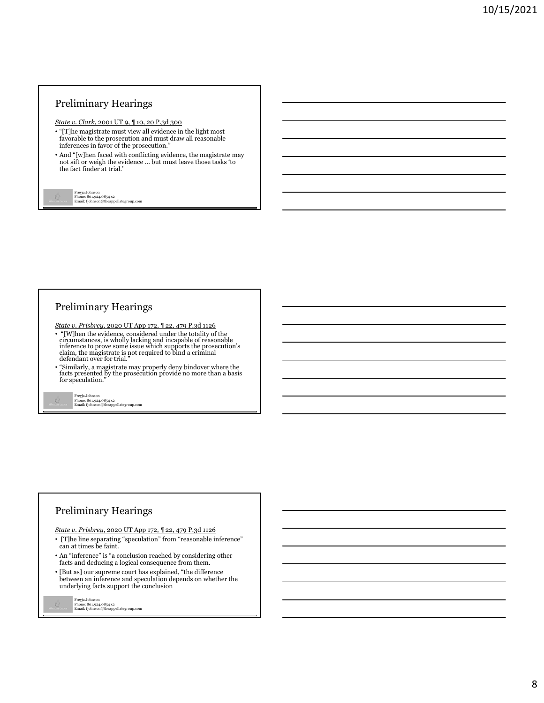*State v. Clark*, 2001 UT 9, ¶ 10, 20 P.3d 300

- "[T]he magistrate must view all evidence in the light most favorable to the prosecution and must draw all reasonable inferences in favor of the prosecution."
- And "[w]hen faced with conflicting evidence, the magistrate may not sift or weigh the evidence ... but must leave those tasks 'to the fact finder at trial.'

Freyja Johnson Phone: 801.924.0854 x2 Email: fjohnson@theappellategroup.com

# Preliminary Hearings

*State v. Prisbrey*, 2020 UT App 172, ¶ 22, 479 P.3d 1126

- "[W]hen the evidence, considered under the totality of the circumstances, is wholly lacking and incapable of reasonable inference to prove some issue which supports the prosecution's claim, the magistrate is not required to bind a criminal defendant over for trial."
- "Similarly, a magistrate may properly deny bindover where the facts presented by the prosecution provide no more than a basis for speculation."

Freyja Johnson Phone: 801.924.0854 x2 Email: fjohnson@theappellategroup.com

# Preliminary Hearings

*State v. Prisbrey*, 2020 UT App 172, ¶ 22, 479 P.3d 1126

- [T]he line separating "speculation" from "reasonable inference" can at times be faint.
- An "inference" is "a conclusion reached by considering other facts and deducing a logical consequence from them.
- [But as] our supreme court has explained, "the difference between an inference and speculation depends on whether the underlying facts support the conclusion

```
Freyja Johnson
Phone: 801.924.0854 x2
Email: fjohnson@theappellategroup.com
```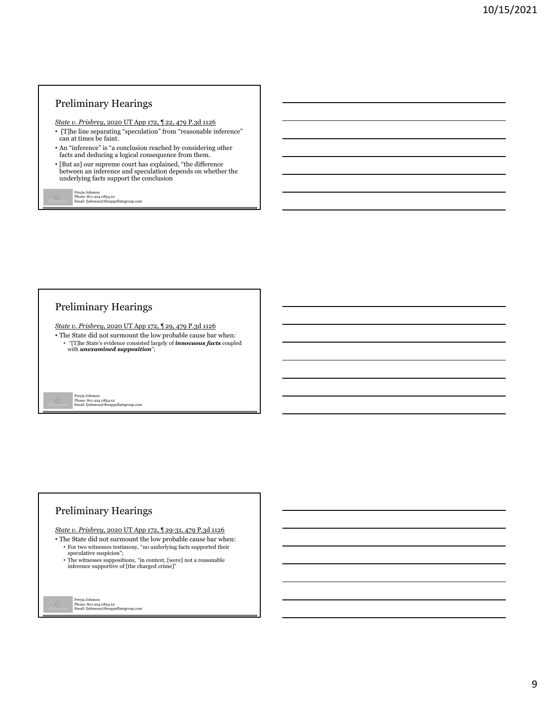*State v. Prisbrey*, 2020 UT App 172, ¶ 22, 479 P.3d 1126

- [T]he line separating "speculation" from "reasonable inference" can at times be faint.
- An "inference" is "a conclusion reached by considering other facts and deducing a logical consequence from them.
- [But as] our supreme court has explained, "the difference between an inference and speculation depends on whether the underlying facts support the conclusion

Freyja Johnson Phone: 801.924.0854 x2 Email: fjohnson@theappellategroup.com

# Preliminary Hearings

*State v. Prisbrey*, 2020 UT App 172, ¶ 29, 479 P.3d 1126

• The State did not surmount the low probable cause bar when: • "[T]he State's evidence consisted largely of *innocuous facts* coupled with *unexamined supposition*";

Freyja Johnson Phone: 801.924.0854 x2 Email: fjohnson@theappellategroup.com

# Preliminary Hearings

*State v. Prisbrey*, 2020 UT App 172, ¶ 29-31, 479 P.3d 1126

- The State did not surmount the low probable cause bar when: • For two witnesses testimony, "no underlying facts supported their speculative suspicion";
	- The witnesses suppositions, "in context, [were] not a reasonable inference supportive of [the charged crime]"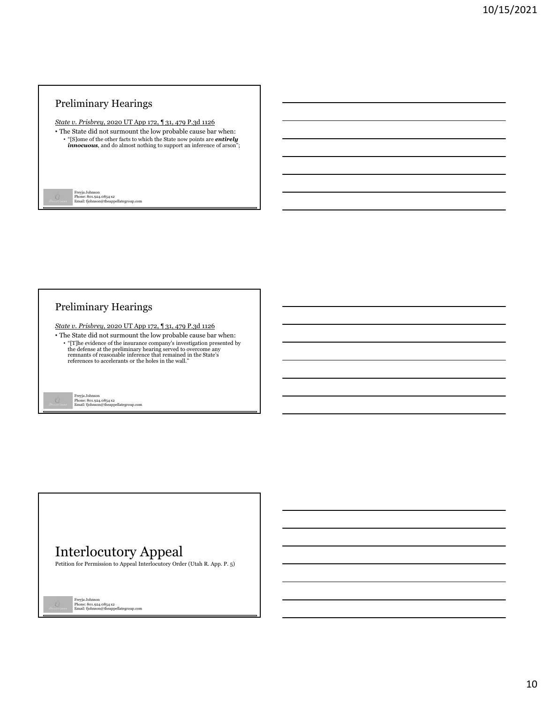*State v. Prisbrey*, 2020 UT App 172, ¶ 31, 479 P.3d 1126

• The State did not surmount the low probable cause bar when: • "[S]ome of the other facts to which the State now points are *entirely innocuous*, and do almost nothing to support an inference of arson";

Freyja Johnson Phone: 801.924.0854 x2 Email: fjohnson@theappellategroup.com

# Preliminary Hearings

*State v. Prisbrey*, 2020 UT App 172, ¶ 31, 479 P.3d 1126

• The State did not surmount the low probable cause bar when: • "[T]he evidence of the insurance company's investigation presented by<br>the defense at the preliminary hearing served to overcome any<br>remnants of reasonable inference that remained in the State's<br>references to accelerants

Freyja Johnson Phone: 801.924.0854 x2 Email: fjohnson@theappellategroup.com

# Interlocutory Appeal

Petition for Permission to Appeal Interlocutory Order (Utah R. App. P. 5)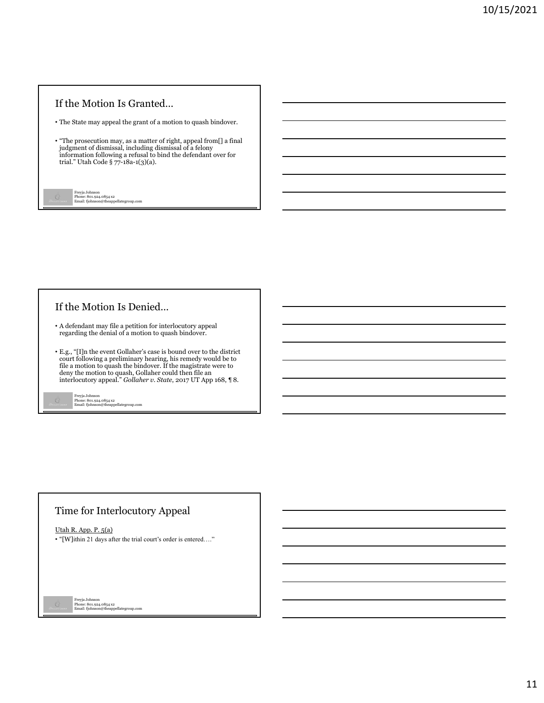## If the Motion Is Granted…

• The State may appeal the grant of a motion to quash bindover.

• "The prosecution may, as a matter of right, appeal from[] a final judgment of dismissal, including dismissal of a felony information following a refusal to bind the defendant over for trial." Utah Code § 77-18a-1(3)(a).

Freyja Johnson Phone: 801.924.0854 x2 Email: fjohnson@theappellategroup.com

# If the Motion Is Denied…

- A defendant may file a petition for interlocutory appeal regarding the denial of a motion to quash bindover.
- E.g., "[I]n the event Gollaher's case is bound over to the district court following a preliminary hearing, his remedy would be to file a motion to quash the bindover. If the magistrate were to deny the motion to quash, Gollaher could then file an interlocutory appeal." *Gollaher v. State*, 2017 UT App 168, ¶ 8.

Freyja Johnson Phone: 801.924.0854 x2 Email: fjohnson@theappellategroup.com

# Time for Interlocutory Appeal

Utah R. App. P. 5(a)

• "[W]ithin 21 days after the trial court's order is entered…."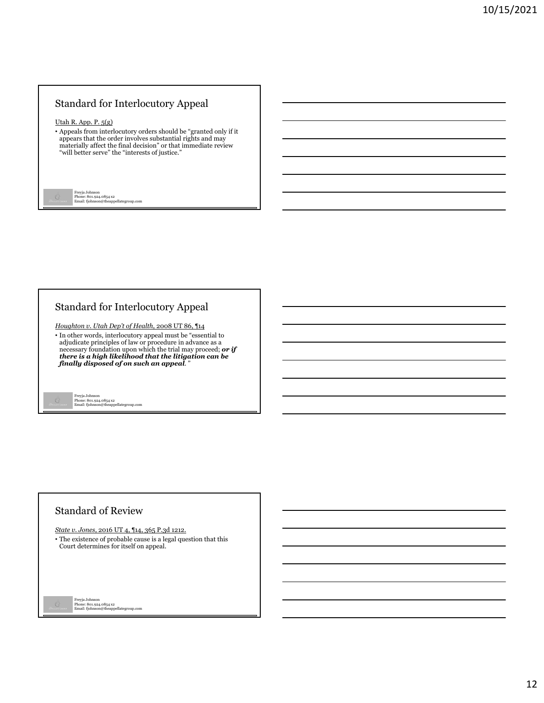# Standard for Interlocutory Appeal

#### Utah R. App. P. 5(g)

• Appeals from interlocutory orders should be "granted only if it appears that the order involves substantial rights and may materially affect the final decision" or that immediate review "will better serve" the "interests of justice."

Freyja Johnson Phone: 801.924.0854 x2 Email: fjohnson@theappellategroup.com

## Standard for Interlocutory Appeal

*Houghton v. Utah Dep't of Health*, 2008 UT 86, ¶14

• In other words, interlocutory appeal must be "essential to adjudicate principles of law or procedure in advance as a necessary foundation upon which the trial may proceed; *or if there is a high likelihood that the litigation can be finally disposed of on such an appeal*. "

Freyja Johnson Phone: 801.924.0854 x2 Email: fjohnson@theappellategroup.com

#### Standard of Review

*State v. Jones*, 2016 UT 4, ¶14, 365 P.3d 1212.

• The existence of probable cause is a legal question that this Court determines for itself on appeal.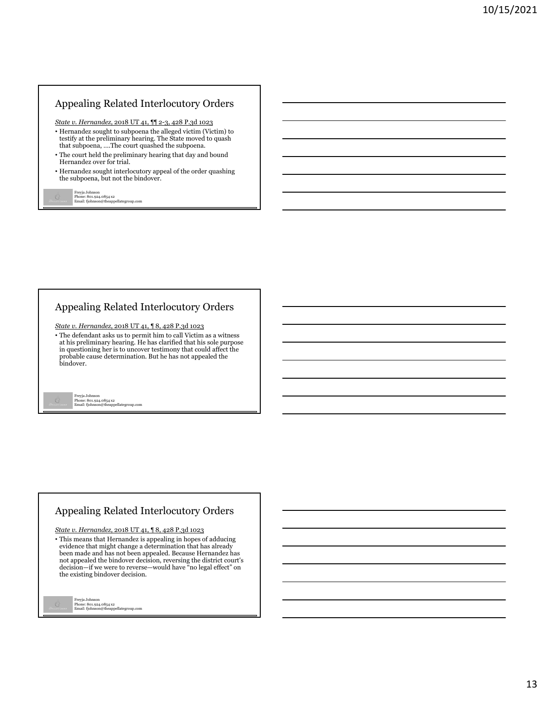# Appealing Related Interlocutory Orders

*State v. Hernandez*, 2018 UT 41, ¶¶ 2-3, 428 P.3d 1023

- Hernandez sought to subpoena the alleged victim (Victim) to testify at the preliminary hearing. The State moved to quash that subpoena, ….The court quashed the subpoena.
- The court held the preliminary hearing that day and bound Hernandez over for trial.
- Hernandez sought interlocutory appeal of the order quashing the subpoena, but not the bindover.

Freyja Johnson Phone: 801.924.0854 x2 Email: fjohnson@theappellategroup.com

# Appealing Related Interlocutory Orders

*State v. Hernandez*, 2018 UT 41, ¶ 8, 428 P.3d 1023

• The defendant asks us to permit him to call Victim as a witness at his preliminary hearing. He has clarified that his sole purpose in questioning her is to uncover testimony that could affect the probable cause determination. But he has not appealed the bindover.

Freyja Johnson Phone: 801.924.0854 x2 Email: fjohnson@theappellategroup.com

# Appealing Related Interlocutory Orders

*State v. Hernandez*, 2018 UT 41, ¶ 8, 428 P.3d 1023

• This means that Hernandez is appealing in hopes of adducing evidence that might change a determination that has already been made and has not been appealed. Because Hernandez has not appealed the bindover decision, reversing the district court's decision—if we were to reverse—would have "no legal effect" on the existing bindover decision.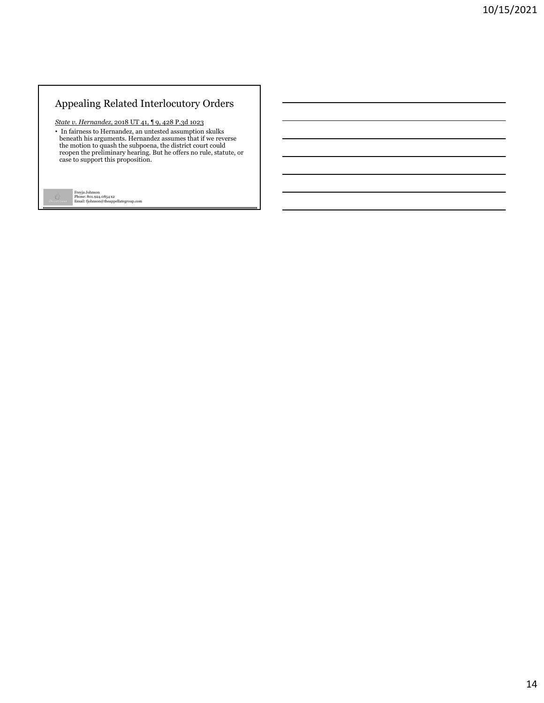# Appealing Related Interlocutory Orders

*State v. Hernandez*, 2018 UT 41, ¶ 9, 428 P.3d 1023

• In fairness to Hernandez, an untested assumption skulks<br>beneath his arguments. Hernandez assumes that if we reverse<br>the motion to quash the subpoena, the district court could<br>repen the preliminary hearing. But he offers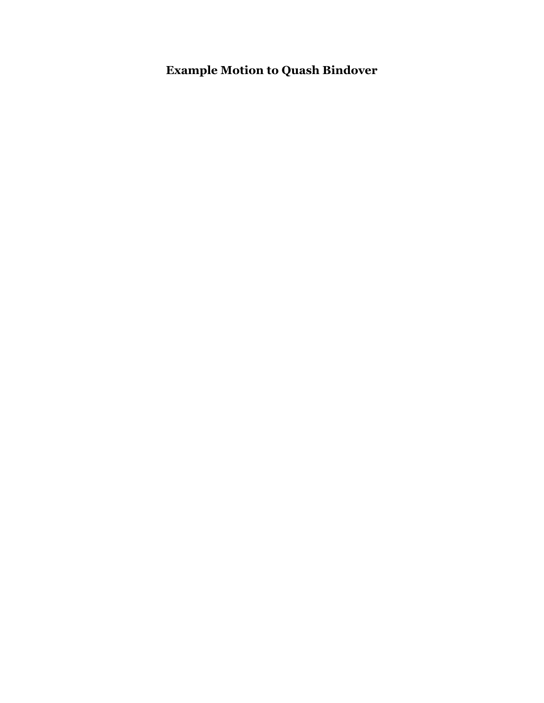**Example Motion to Quash Bindover**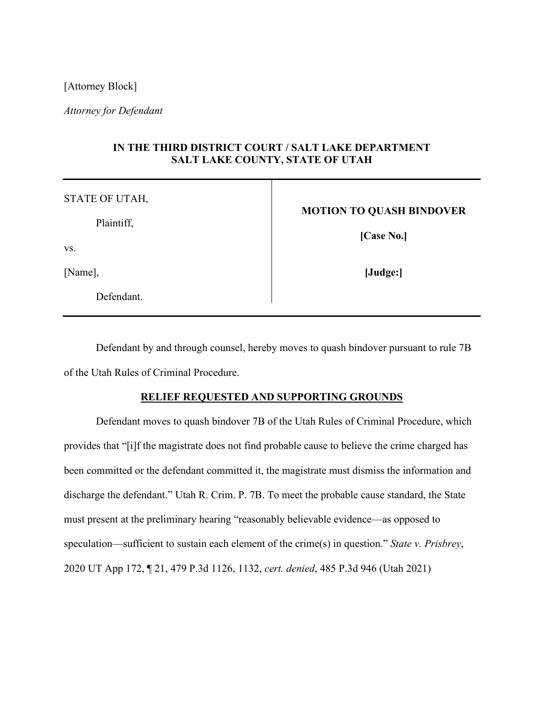[Attorney Block]

*Attorney for Defendant*

# **IN THE THIRD DISTRICT COURT / SALT LAKE DEPARTMENT SALT LAKE COUNTY, STATE OF UTAH**

| STATE OF UTAH, |                                 |
|----------------|---------------------------------|
|                | <b>MOTION TO QUASH BINDOVER</b> |
| Plaintiff,     | [Case No.]                      |
| VS.            |                                 |
| [Name],        | [Judge:]                        |
| Defendant.     |                                 |

Defendant by and through counsel, hereby moves to quash bindover pursuant to rule 7B of the Utah Rules of Criminal Procedure.

#### **RELIEF REQUESTED AND SUPPORTING GROUNDS**

Defendant moves to quash bindover 7B of the Utah Rules of Criminal Procedure, which provides that "[i]f the magistrate does not find probable cause to believe the crime charged has been committed or the defendant committed it, the magistrate must dismiss the information and discharge the defendant." Utah R. Crim. P. 7B. To meet the probable cause standard, the State must present at the preliminary hearing "reasonably believable evidence—as opposed to speculation—sufficient to sustain each element of the crime(s) in question." *State v. Prisbrey*, 2020 UT App 172, ¶ 21, 479 P.3d 1126, 1132, *cert. denied*, 485 P.3d 946 (Utah 2021)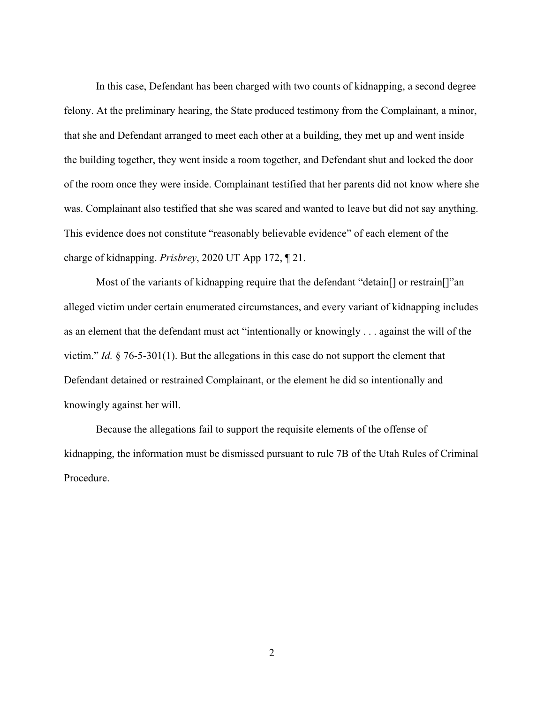In this case, Defendant has been charged with two counts of kidnapping, a second degree felony. At the preliminary hearing, the State produced testimony from the Complainant, a minor, that she and Defendant arranged to meet each other at a building, they met up and went inside the building together, they went inside a room together, and Defendant shut and locked the door of the room once they were inside. Complainant testified that her parents did not know where she was. Complainant also testified that she was scared and wanted to leave but did not say anything. This evidence does not constitute "reasonably believable evidence" of each element of the charge of kidnapping. *Prisbrey*, 2020 UT App 172, ¶ 21.

Most of the variants of kidnapping require that the defendant "detain[] or restrain[]"an alleged victim under certain enumerated circumstances, and every variant of kidnapping includes as an element that the defendant must act "intentionally or knowingly . . . against the will of the victim." *Id.* § 76-5-301(1). But the allegations in this case do not support the element that Defendant detained or restrained Complainant, or the element he did so intentionally and knowingly against her will.

Because the allegations fail to support the requisite elements of the offense of kidnapping, the information must be dismissed pursuant to rule 7B of the Utah Rules of Criminal Procedure.

2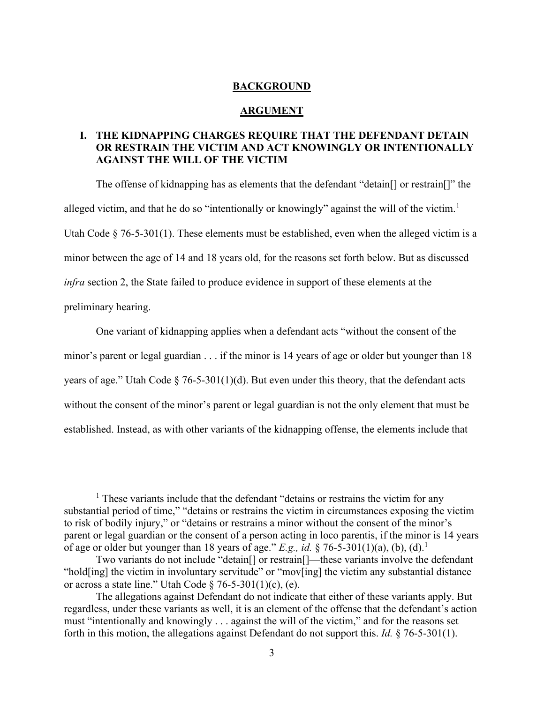#### **BACKGROUND**

#### **ARGUMENT**

# **I. THE KIDNAPPING CHARGES REQUIRE THAT THE DEFENDANT DETAIN OR RESTRAIN THE VICTIM AND ACT KNOWINGLY OR INTENTIONALLY AGAINST THE WILL OF THE VICTIM**

The offense of kidnapping has as elements that the defendant "detain[] or restrain[]" the alleged victim, and that he do so "intentionally or knowingly" against the will of the victim.<sup>[1](#page-19-0)</sup> Utah Code § 76-5-301(1). These elements must be established, even when the alleged victim is a minor between the age of 14 and 18 years old, for the reasons set forth below. But as discussed *infra* section 2, the State failed to produce evidence in support of these elements at the preliminary hearing.

One variant of kidnapping applies when a defendant acts "without the consent of the minor's parent or legal guardian . . . if the minor is 14 years of age or older but younger than 18 years of age." Utah Code  $\S$  76-5-301(1)(d). But even under this theory, that the defendant acts without the consent of the minor's parent or legal guardian is not the only element that must be established. Instead, as with other variants of the kidnapping offense, the elements include that

<span id="page-19-0"></span> $<sup>1</sup>$  These variants include that the defendant "detains or restrains the victim for any</sup> substantial period of time," "detains or restrains the victim in circumstances exposing the victim to risk of bodily injury," or "detains or restrains a minor without the consent of the minor's parent or legal guardian or the consent of a person acting in loco parentis, if the minor is 14 years of age or older but younger than 18 years of age." *E.g., id.* § 76-5-301(1)(a), (b), (d).<sup>1</sup>

Two variants do not include "detain[] or restrain[]—these variants involve the defendant "hold[ing] the victim in involuntary servitude" or "mov[ing] the victim any substantial distance or across a state line." Utah Code  $\S$  76-5-301(1)(c), (e).

The allegations against Defendant do not indicate that either of these variants apply. But regardless, under these variants as well, it is an element of the offense that the defendant's action must "intentionally and knowingly . . . against the will of the victim," and for the reasons set forth in this motion, the allegations against Defendant do not support this. *Id.* § 76-5-301(1).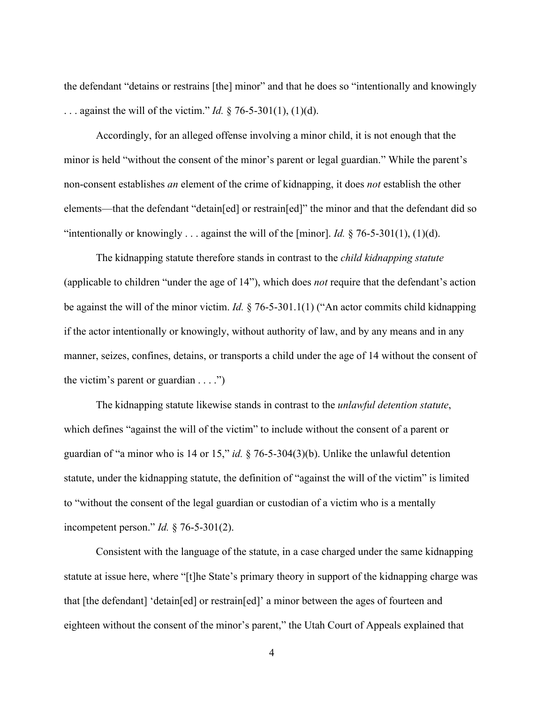the defendant "detains or restrains [the] minor" and that he does so "intentionally and knowingly . . . against the will of the victim." *Id.* § 76-5-301(1), (1)(d).

Accordingly, for an alleged offense involving a minor child, it is not enough that the minor is held "without the consent of the minor's parent or legal guardian." While the parent's non-consent establishes *an* element of the crime of kidnapping, it does *not* establish the other elements—that the defendant "detain[ed] or restrain[ed]" the minor and that the defendant did so "intentionally or knowingly . . . against the will of the [minor]. *Id.*  $\S$  76-5-301(1), (1)(d).

The kidnapping statute therefore stands in contrast to the *child kidnapping statute* (applicable to children "under the age of 14"), which does *not* require that the defendant's action be against the will of the minor victim. *Id.* § 76-5-301.1(1) ("An actor commits child kidnapping if the actor intentionally or knowingly, without authority of law, and by any means and in any manner, seizes, confines, detains, or transports a child under the age of 14 without the consent of the victim's parent or guardian  $\dots$ .")

The kidnapping statute likewise stands in contrast to the *unlawful detention statute*, which defines "against the will of the victim" to include without the consent of a parent or guardian of "a minor who is 14 or 15," *id.* § 76-5-304(3)(b). Unlike the unlawful detention statute, under the kidnapping statute, the definition of "against the will of the victim" is limited to "without the consent of the legal guardian or custodian of a victim who is a mentally incompetent person." *Id.* § 76-5-301(2).

Consistent with the language of the statute, in a case charged under the same kidnapping statute at issue here, where "[t]he State's primary theory in support of the kidnapping charge was that [the defendant] 'detain[ed] or restrain[ed]' a minor between the ages of fourteen and eighteen without the consent of the minor's parent," the Utah Court of Appeals explained that

4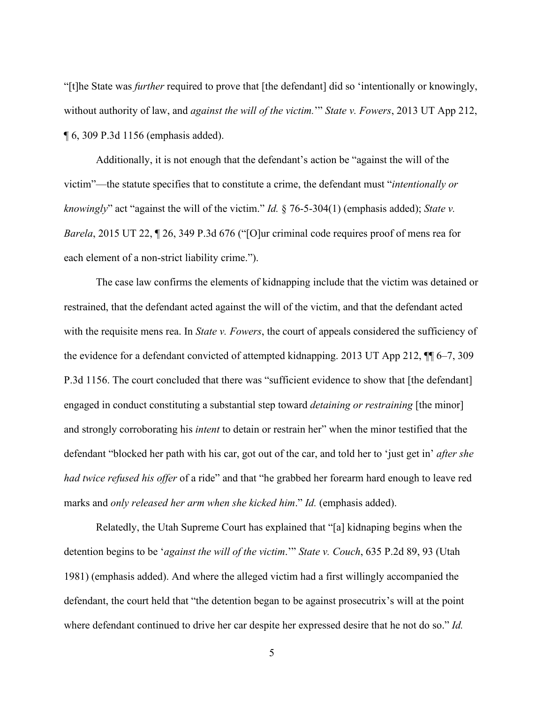"[t]he State was *further* required to prove that [the defendant] did so 'intentionally or knowingly, without authority of law, and *against the will of the victim.*'" *State v. Fowers*, 2013 UT App 212, ¶ 6, 309 P.3d 1156 (emphasis added).

Additionally, it is not enough that the defendant's action be "against the will of the victim"—the statute specifies that to constitute a crime, the defendant must "*intentionally or knowingly*" act "against the will of the victim." *Id.* § 76-5-304(1) (emphasis added); *State v. Barela*, 2015 UT 22, ¶ 26, 349 P.3d 676 ("[O]ur criminal code requires proof of mens rea for each element of a non-strict liability crime.").

The case law confirms the elements of kidnapping include that the victim was detained or restrained, that the defendant acted against the will of the victim, and that the defendant acted with the requisite mens rea. In *State v. Fowers*, the court of appeals considered the sufficiency of the evidence for a defendant convicted of attempted kidnapping. 2013 UT App 212, ¶¶ 6–7, 309 P.3d 1156. The court concluded that there was "sufficient evidence to show that [the defendant] engaged in conduct constituting a substantial step toward *detaining or restraining* [the minor] and strongly corroborating his *intent* to detain or restrain her" when the minor testified that the defendant "blocked her path with his car, got out of the car, and told her to 'just get in' *after she had twice refused his offer* of a ride" and that "he grabbed her forearm hard enough to leave red marks and *only released her arm when she kicked him*." *Id.* (emphasis added).

Relatedly, the Utah Supreme Court has explained that "[a] kidnaping begins when the detention begins to be '*against the will of the victim*.'" *State v. Couch*, 635 P.2d 89, 93 (Utah 1981) (emphasis added). And where the alleged victim had a first willingly accompanied the defendant, the court held that "the detention began to be against prosecutrix's will at the point where defendant continued to drive her car despite her expressed desire that he not do so." *Id.*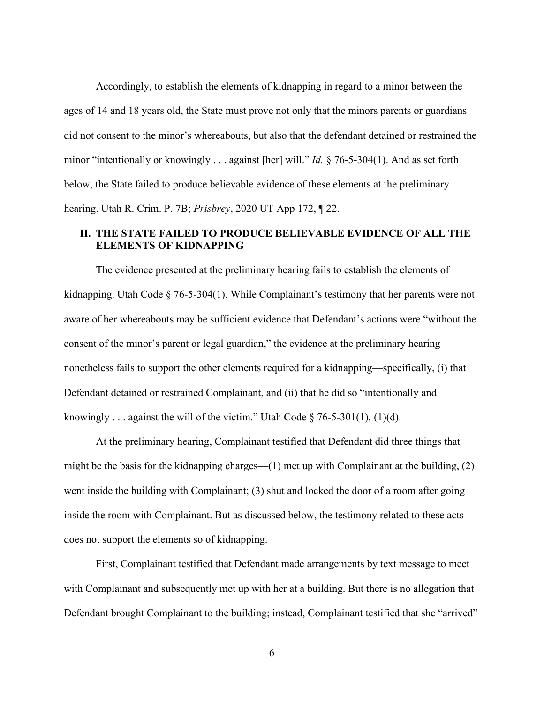Accordingly, to establish the elements of kidnapping in regard to a minor between the ages of 14 and 18 years old, the State must prove not only that the minors parents or guardians did not consent to the minor's whereabouts, but also that the defendant detained or restrained the minor "intentionally or knowingly . . . against [her] will." *Id.* § 76-5-304(1). And as set forth below, the State failed to produce believable evidence of these elements at the preliminary hearing. Utah R. Crim. P. 7B; *Prisbrey*, 2020 UT App 172, ¶ 22.

# **II. THE STATE FAILED TO PRODUCE BELIEVABLE EVIDENCE OF ALL THE ELEMENTS OF KIDNAPPING**

The evidence presented at the preliminary hearing fails to establish the elements of kidnapping. Utah Code § 76-5-304(1). While Complainant's testimony that her parents were not aware of her whereabouts may be sufficient evidence that Defendant's actions were "without the consent of the minor's parent or legal guardian," the evidence at the preliminary hearing nonetheless fails to support the other elements required for a kidnapping—specifically, (i) that Defendant detained or restrained Complainant, and (ii) that he did so "intentionally and knowingly . . . against the will of the victim." Utah Code  $\S$  76-5-301(1), (1)(d).

At the preliminary hearing, Complainant testified that Defendant did three things that might be the basis for the kidnapping charges—(1) met up with Complainant at the building, (2) went inside the building with Complainant; (3) shut and locked the door of a room after going inside the room with Complainant. But as discussed below, the testimony related to these acts does not support the elements so of kidnapping.

First, Complainant testified that Defendant made arrangements by text message to meet with Complainant and subsequently met up with her at a building. But there is no allegation that Defendant brought Complainant to the building; instead, Complainant testified that she "arrived"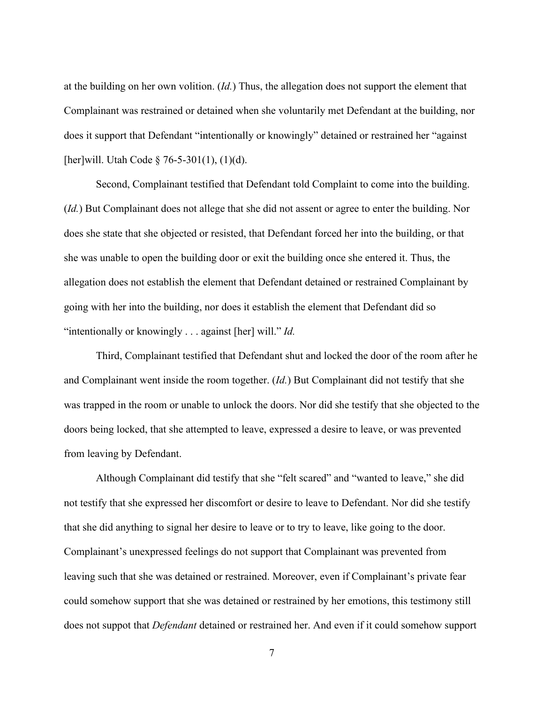at the building on her own volition. (*Id.*) Thus, the allegation does not support the element that Complainant was restrained or detained when she voluntarily met Defendant at the building, nor does it support that Defendant "intentionally or knowingly" detained or restrained her "against [her]will. Utah Code § 76-5-301(1), (1)(d).

Second, Complainant testified that Defendant told Complaint to come into the building. (*Id.*) But Complainant does not allege that she did not assent or agree to enter the building. Nor does she state that she objected or resisted, that Defendant forced her into the building, or that she was unable to open the building door or exit the building once she entered it. Thus, the allegation does not establish the element that Defendant detained or restrained Complainant by going with her into the building, nor does it establish the element that Defendant did so "intentionally or knowingly . . . against [her] will." *Id.*

Third, Complainant testified that Defendant shut and locked the door of the room after he and Complainant went inside the room together. (*Id.*) But Complainant did not testify that she was trapped in the room or unable to unlock the doors. Nor did she testify that she objected to the doors being locked, that she attempted to leave, expressed a desire to leave, or was prevented from leaving by Defendant.

Although Complainant did testify that she "felt scared" and "wanted to leave," she did not testify that she expressed her discomfort or desire to leave to Defendant. Nor did she testify that she did anything to signal her desire to leave or to try to leave, like going to the door. Complainant's unexpressed feelings do not support that Complainant was prevented from leaving such that she was detained or restrained. Moreover, even if Complainant's private fear could somehow support that she was detained or restrained by her emotions, this testimony still does not suppot that *Defendant* detained or restrained her. And even if it could somehow support

7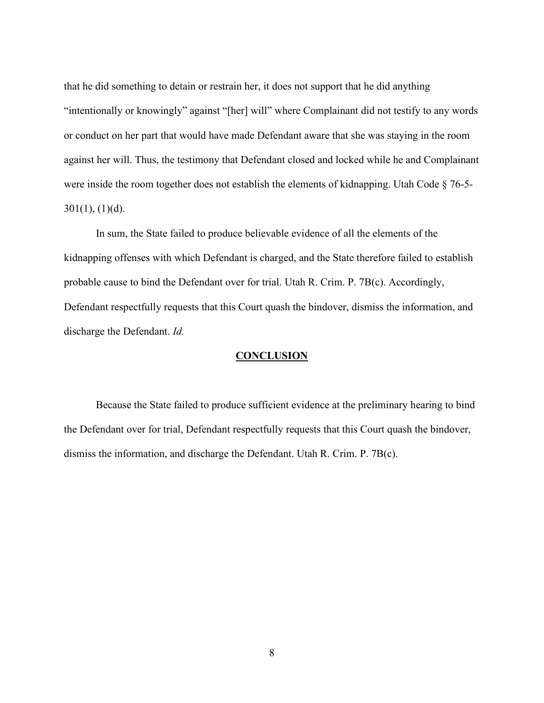that he did something to detain or restrain her, it does not support that he did anything "intentionally or knowingly" against "[her] will" where Complainant did not testify to any words or conduct on her part that would have made Defendant aware that she was staying in the room against her will. Thus, the testimony that Defendant closed and locked while he and Complainant were inside the room together does not establish the elements of kidnapping. Utah Code § 76-5-  $301(1), (1)(d).$ 

In sum, the State failed to produce believable evidence of all the elements of the kidnapping offenses with which Defendant is charged, and the State therefore failed to establish probable cause to bind the Defendant over for trial. Utah R. Crim. P. 7B(c). Accordingly, Defendant respectfully requests that this Court quash the bindover, dismiss the information, and discharge the Defendant. *Id.* 

#### **CONCLUSION**

Because the State failed to produce sufficient evidence at the preliminary hearing to bind the Defendant over for trial, Defendant respectfully requests that this Court quash the bindover, dismiss the information, and discharge the Defendant. Utah R. Crim. P. 7B(c).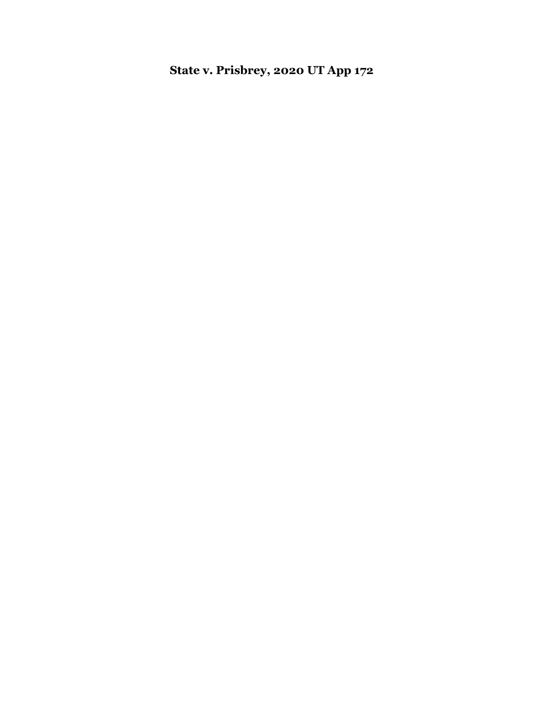**State v. Prisbrey, 2020 UT App 172**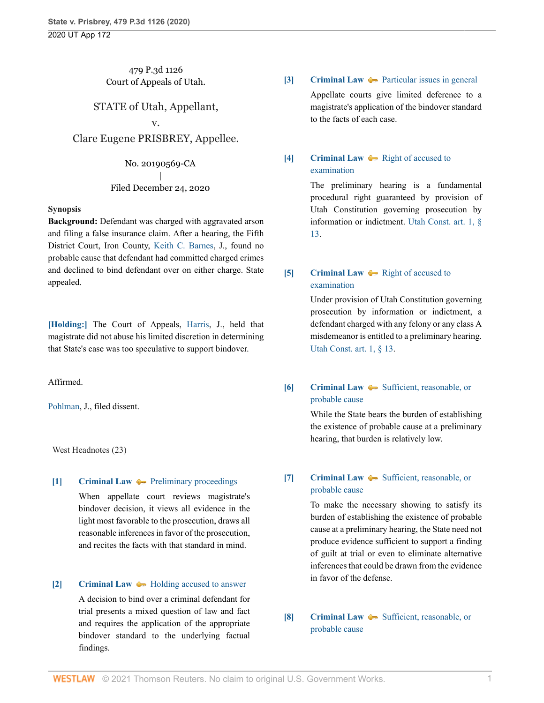# 479 P.3d 1126 Court of Appeals of Utah.

# STATE of Utah, Appellant,

#### v.

Clare Eugene PRISBREY, Appellee.

No. 20190569-CA | Filed December 24, 2020

#### **Synopsis**

**Background:** Defendant was charged with aggravated arson and filing a false insurance claim. After a hearing, the Fifth District Court, Iron County, [Keith C. Barnes](http://www.westlaw.com/Link/Document/FullText?findType=h&pubNum=176284&cite=0507126801&originatingDoc=Iebcd7750461911eba075d817282e94c2&refType=RQ&originationContext=document&vr=3.0&rs=cblt1.0&transitionType=DocumentItem&contextData=(sc.Search)), J., found no probable cause that defendant had committed charged crimes and declined to bind defendant over on either charge. State appealed.

**[\[Holding:\]](#page-28-0)** The Court of Appeals, [Harris](http://www.westlaw.com/Link/Document/FullText?findType=h&pubNum=176284&cite=0313299201&originatingDoc=Iebcd7750461911eba075d817282e94c2&refType=RQ&originationContext=document&vr=3.0&rs=cblt1.0&transitionType=DocumentItem&contextData=(sc.Search)), J., held that magistrate did not abuse his limited discretion in determining that State's case was too speculative to support bindover.

Affirmed.

[Pohlman,](http://www.westlaw.com/Link/Document/FullText?findType=h&pubNum=176284&cite=0244769899&originatingDoc=Iebcd7750461911eba075d817282e94c2&refType=RQ&originationContext=document&vr=3.0&rs=cblt1.0&transitionType=DocumentItem&contextData=(sc.Search)) J., filed dissent.

West Headnotes (23)

#### <span id="page-26-0"></span>**[\[1\]](#page-28-1) [Criminal Law](http://www.westlaw.com/Browse/Home/KeyNumber/110/View.html?docGuid=Iebcd7750461911eba075d817282e94c2&originationContext=document&vr=3.0&rs=cblt1.0&transitionType=DocumentItem&contextData=(sc.Search))**  $\blacktriangleright$  **[Preliminary proceedings](http://www.westlaw.com/Browse/Home/KeyNumber/110k1144.9/View.html?docGuid=Iebcd7750461911eba075d817282e94c2&originationContext=document&vr=3.0&rs=cblt1.0&transitionType=DocumentItem&contextData=(sc.Search))**

When appellate court reviews magistrate's bindover decision, it views all evidence in the light most favorable to the prosecution, draws all reasonable inferences in favor of the prosecution, and recites the facts with that standard in mind.

#### <span id="page-26-1"></span>**[\[2\]](#page-31-0) [Criminal Law](http://www.westlaw.com/Browse/Home/KeyNumber/110/View.html?docGuid=Iebcd7750461911eba075d817282e94c2&originationContext=document&vr=3.0&rs=cblt1.0&transitionType=DocumentItem&contextData=(sc.Search))**  $\rightarrow$  [Holding accused to answer](http://www.westlaw.com/Browse/Home/KeyNumber/110k240/View.html?docGuid=Iebcd7750461911eba075d817282e94c2&originationContext=document&vr=3.0&rs=cblt1.0&transitionType=DocumentItem&contextData=(sc.Search))

A decision to bind over a criminal defendant for trial presents a mixed question of law and fact and requires the application of the appropriate bindover standard to the underlying factual findings.

#### <span id="page-26-2"></span>**[\[3\]](#page-31-1) [Criminal Law](http://www.westlaw.com/Browse/Home/KeyNumber/110/View.html?docGuid=Iebcd7750461911eba075d817282e94c2&originationContext=document&vr=3.0&rs=cblt1.0&transitionType=DocumentItem&contextData=(sc.Search))**  $\rightarrow$  [Particular issues in general](http://www.westlaw.com/Browse/Home/KeyNumber/110k1134.32/View.html?docGuid=Iebcd7750461911eba075d817282e94c2&originationContext=document&vr=3.0&rs=cblt1.0&transitionType=DocumentItem&contextData=(sc.Search))

Appellate courts give limited deference to a magistrate's application of the bindover standard to the facts of each case.

# <span id="page-26-3"></span>**[\[4\]](#page-31-2) [Criminal Law](http://www.westlaw.com/Browse/Home/KeyNumber/110/View.html?docGuid=Iebcd7750461911eba075d817282e94c2&originationContext=document&vr=3.0&rs=cblt1.0&transitionType=DocumentItem&contextData=(sc.Search))**  $\blacktriangleright$  [Right of accused to](http://www.westlaw.com/Browse/Home/KeyNumber/110k224/View.html?docGuid=Iebcd7750461911eba075d817282e94c2&originationContext=document&vr=3.0&rs=cblt1.0&transitionType=DocumentItem&contextData=(sc.Search)) [examination](http://www.westlaw.com/Browse/Home/KeyNumber/110k224/View.html?docGuid=Iebcd7750461911eba075d817282e94c2&originationContext=document&vr=3.0&rs=cblt1.0&transitionType=DocumentItem&contextData=(sc.Search))

The preliminary hearing is a fundamental procedural right guaranteed by provision of Utah Constitution governing prosecution by information or indictment. [Utah Const. art. 1, §](http://www.westlaw.com/Link/Document/FullText?findType=L&pubNum=1000512&cite=UTCNART1S13&originatingDoc=Iebcd7750461911eba075d817282e94c2&refType=LQ&originationContext=document&vr=3.0&rs=cblt1.0&transitionType=DocumentItem&contextData=(sc.Search)) [13.](http://www.westlaw.com/Link/Document/FullText?findType=L&pubNum=1000512&cite=UTCNART1S13&originatingDoc=Iebcd7750461911eba075d817282e94c2&refType=LQ&originationContext=document&vr=3.0&rs=cblt1.0&transitionType=DocumentItem&contextData=(sc.Search))

## <span id="page-26-4"></span>**[\[5\]](#page-31-3) [Criminal Law](http://www.westlaw.com/Browse/Home/KeyNumber/110/View.html?docGuid=Iebcd7750461911eba075d817282e94c2&originationContext=document&vr=3.0&rs=cblt1.0&transitionType=DocumentItem&contextData=(sc.Search))**  $\bullet$  [Right of accused to](http://www.westlaw.com/Browse/Home/KeyNumber/110k224/View.html?docGuid=Iebcd7750461911eba075d817282e94c2&originationContext=document&vr=3.0&rs=cblt1.0&transitionType=DocumentItem&contextData=(sc.Search)) [examination](http://www.westlaw.com/Browse/Home/KeyNumber/110k224/View.html?docGuid=Iebcd7750461911eba075d817282e94c2&originationContext=document&vr=3.0&rs=cblt1.0&transitionType=DocumentItem&contextData=(sc.Search))

Under provision of Utah Constitution governing prosecution by information or indictment, a defendant charged with any felony or any class A misdemeanor is entitled to a preliminary hearing. [Utah Const. art. 1, § 13.](http://www.westlaw.com/Link/Document/FullText?findType=L&pubNum=1000512&cite=UTCNART1S13&originatingDoc=Iebcd7750461911eba075d817282e94c2&refType=LQ&originationContext=document&vr=3.0&rs=cblt1.0&transitionType=DocumentItem&contextData=(sc.Search))

# <span id="page-26-5"></span>**[\[6\]](#page-31-4) [Criminal Law](http://www.westlaw.com/Browse/Home/KeyNumber/110/View.html?docGuid=Iebcd7750461911eba075d817282e94c2&originationContext=document&vr=3.0&rs=cblt1.0&transitionType=DocumentItem&contextData=(sc.Search))**  $\bullet\bullet$  [Sufficient, reasonable, or](http://www.westlaw.com/Browse/Home/KeyNumber/110k238(2)/View.html?docGuid=Iebcd7750461911eba075d817282e94c2&originationContext=document&vr=3.0&rs=cblt1.0&transitionType=DocumentItem&contextData=(sc.Search)) [probable cause](http://www.westlaw.com/Browse/Home/KeyNumber/110k238(2)/View.html?docGuid=Iebcd7750461911eba075d817282e94c2&originationContext=document&vr=3.0&rs=cblt1.0&transitionType=DocumentItem&contextData=(sc.Search))

While the State bears the burden of establishing the existence of probable cause at a preliminary hearing, that burden is relatively low.

#### <span id="page-26-6"></span>**[\[7\]](#page-31-5) [Criminal Law](http://www.westlaw.com/Browse/Home/KeyNumber/110/View.html?docGuid=Iebcd7750461911eba075d817282e94c2&originationContext=document&vr=3.0&rs=cblt1.0&transitionType=DocumentItem&contextData=(sc.Search))**  $\blacklozenge$  [Sufficient, reasonable, or](http://www.westlaw.com/Browse/Home/KeyNumber/110k238(2)/View.html?docGuid=Iebcd7750461911eba075d817282e94c2&originationContext=document&vr=3.0&rs=cblt1.0&transitionType=DocumentItem&contextData=(sc.Search)) [probable cause](http://www.westlaw.com/Browse/Home/KeyNumber/110k238(2)/View.html?docGuid=Iebcd7750461911eba075d817282e94c2&originationContext=document&vr=3.0&rs=cblt1.0&transitionType=DocumentItem&contextData=(sc.Search))

To make the necessary showing to satisfy its burden of establishing the existence of probable cause at a preliminary hearing, the State need not produce evidence sufficient to support a finding of guilt at trial or even to eliminate alternative inferences that could be drawn from the evidence in favor of the defense.

#### <span id="page-26-7"></span>**[\[8\]](#page-31-6) [Criminal Law](http://www.westlaw.com/Browse/Home/KeyNumber/110/View.html?docGuid=Iebcd7750461911eba075d817282e94c2&originationContext=document&vr=3.0&rs=cblt1.0&transitionType=DocumentItem&contextData=(sc.Search))**  $\rightarrow$  [Sufficient, reasonable, or](http://www.westlaw.com/Browse/Home/KeyNumber/110k238(2)/View.html?docGuid=Iebcd7750461911eba075d817282e94c2&originationContext=document&vr=3.0&rs=cblt1.0&transitionType=DocumentItem&contextData=(sc.Search)) [probable cause](http://www.westlaw.com/Browse/Home/KeyNumber/110k238(2)/View.html?docGuid=Iebcd7750461911eba075d817282e94c2&originationContext=document&vr=3.0&rs=cblt1.0&transitionType=DocumentItem&contextData=(sc.Search))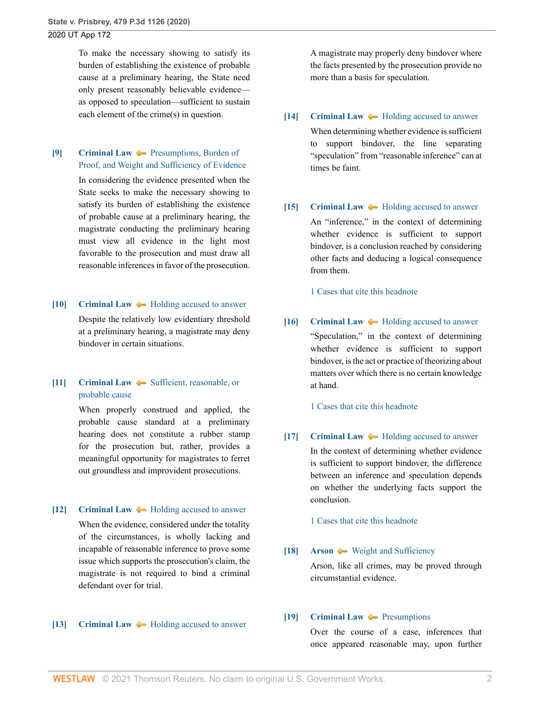To make the necessary showing to satisfy its burden of establishing the existence of probable cause at a preliminary hearing, the State need only present reasonably believable evidence as opposed to speculation—sufficient to sustain each element of the crime(s) in question.

<span id="page-27-0"></span>**[\[9\]](#page-31-7) [Criminal Law](http://www.westlaw.com/Browse/Home/KeyNumber/110/View.html?docGuid=Iebcd7750461911eba075d817282e94c2&originationContext=document&vr=3.0&rs=cblt1.0&transitionType=DocumentItem&contextData=(sc.Search)) Presumptions**, Burden of [Proof, and Weight and Sufficiency of Evidence](http://www.westlaw.com/Browse/Home/KeyNumber/110k238/View.html?docGuid=Iebcd7750461911eba075d817282e94c2&originationContext=document&vr=3.0&rs=cblt1.0&transitionType=DocumentItem&contextData=(sc.Search))

> In considering the evidence presented when the State seeks to make the necessary showing to satisfy its burden of establishing the existence of probable cause at a preliminary hearing, the magistrate conducting the preliminary hearing must view all evidence in the light most favorable to the prosecution and must draw all reasonable inferences in favor of the prosecution.

<span id="page-27-1"></span>**[\[10\]](#page-32-0) [Criminal Law](http://www.westlaw.com/Browse/Home/KeyNumber/110/View.html?docGuid=Iebcd7750461911eba075d817282e94c2&originationContext=document&vr=3.0&rs=cblt1.0&transitionType=DocumentItem&contextData=(sc.Search))**  $\rightarrow$  [Holding accused to answer](http://www.westlaw.com/Browse/Home/KeyNumber/110k240/View.html?docGuid=Iebcd7750461911eba075d817282e94c2&originationContext=document&vr=3.0&rs=cblt1.0&transitionType=DocumentItem&contextData=(sc.Search)) Despite the relatively low evidentiary threshold

at a preliminary hearing, a magistrate may deny bindover in certain situations.

<span id="page-27-2"></span>**[\[11\]](#page-32-1) [Criminal Law](http://www.westlaw.com/Browse/Home/KeyNumber/110/View.html?docGuid=Iebcd7750461911eba075d817282e94c2&originationContext=document&vr=3.0&rs=cblt1.0&transitionType=DocumentItem&contextData=(sc.Search))**  $\rightarrow$  [Sufficient, reasonable, or](http://www.westlaw.com/Browse/Home/KeyNumber/110k238(2)/View.html?docGuid=Iebcd7750461911eba075d817282e94c2&originationContext=document&vr=3.0&rs=cblt1.0&transitionType=DocumentItem&contextData=(sc.Search)) [probable cause](http://www.westlaw.com/Browse/Home/KeyNumber/110k238(2)/View.html?docGuid=Iebcd7750461911eba075d817282e94c2&originationContext=document&vr=3.0&rs=cblt1.0&transitionType=DocumentItem&contextData=(sc.Search))

> When properly construed and applied, the probable cause standard at a preliminary hearing does not constitute a rubber stamp for the prosecution but, rather, provides a meaningful opportunity for magistrates to ferret out groundless and improvident prosecutions.

<span id="page-27-3"></span>**[\[12\]](#page-32-2) [Criminal Law](http://www.westlaw.com/Browse/Home/KeyNumber/110/View.html?docGuid=Iebcd7750461911eba075d817282e94c2&originationContext=document&vr=3.0&rs=cblt1.0&transitionType=DocumentItem&contextData=(sc.Search))**  $\rightarrow$  [Holding accused to answer](http://www.westlaw.com/Browse/Home/KeyNumber/110k240/View.html?docGuid=Iebcd7750461911eba075d817282e94c2&originationContext=document&vr=3.0&rs=cblt1.0&transitionType=DocumentItem&contextData=(sc.Search))

When the evidence, considered under the totality of the circumstances, is wholly lacking and incapable of reasonable inference to prove some issue which supports the prosecution's claim, the magistrate is not required to bind a criminal defendant over for trial.

#### <span id="page-27-4"></span>**[\[13\]](#page-32-3) [Criminal Law](http://www.westlaw.com/Browse/Home/KeyNumber/110/View.html?docGuid=Iebcd7750461911eba075d817282e94c2&originationContext=document&vr=3.0&rs=cblt1.0&transitionType=DocumentItem&contextData=(sc.Search))**  $\leftarrow$  [Holding accused to answer](http://www.westlaw.com/Browse/Home/KeyNumber/110k240/View.html?docGuid=Iebcd7750461911eba075d817282e94c2&originationContext=document&vr=3.0&rs=cblt1.0&transitionType=DocumentItem&contextData=(sc.Search))

A magistrate may properly deny bindover where the facts presented by the prosecution provide no more than a basis for speculation.

<span id="page-27-5"></span>**[\[14\]](#page-32-4) [Criminal Law](http://www.westlaw.com/Browse/Home/KeyNumber/110/View.html?docGuid=Iebcd7750461911eba075d817282e94c2&originationContext=document&vr=3.0&rs=cblt1.0&transitionType=DocumentItem&contextData=(sc.Search))**  $\blacklozenge$  **[Holding accused to answer](http://www.westlaw.com/Browse/Home/KeyNumber/110k240/View.html?docGuid=Iebcd7750461911eba075d817282e94c2&originationContext=document&vr=3.0&rs=cblt1.0&transitionType=DocumentItem&contextData=(sc.Search))** 

When determining whether evidence is sufficient to support bindover, the line separating "speculation" from "reasonable inference" can at times be faint.

<span id="page-27-6"></span>**[\[15\]](#page-32-5) [Criminal Law](http://www.westlaw.com/Browse/Home/KeyNumber/110/View.html?docGuid=Iebcd7750461911eba075d817282e94c2&originationContext=document&vr=3.0&rs=cblt1.0&transitionType=DocumentItem&contextData=(sc.Search))**  $\rightarrow$  [Holding accused to answer](http://www.westlaw.com/Browse/Home/KeyNumber/110k240/View.html?docGuid=Iebcd7750461911eba075d817282e94c2&originationContext=document&vr=3.0&rs=cblt1.0&transitionType=DocumentItem&contextData=(sc.Search))

An "inference," in the context of determining whether evidence is sufficient to support bindover, is a conclusion reached by considering other facts and deducing a logical consequence from them.

[1 Cases that cite this headnote](http://www.westlaw.com/Link/RelatedInformation/DocHeadnoteLink?docGuid=Iebcd7750461911eba075d817282e94c2&headnoteId=205263740601520210426130917&originationContext=document&vr=3.0&rs=cblt1.0&transitionType=CitingReferences&contextData=(sc.Search))

<span id="page-27-7"></span>**[\[16\]](#page-32-6) [Criminal Law](http://www.westlaw.com/Browse/Home/KeyNumber/110/View.html?docGuid=Iebcd7750461911eba075d817282e94c2&originationContext=document&vr=3.0&rs=cblt1.0&transitionType=DocumentItem&contextData=(sc.Search))**  $\blacklozenge$  **[Holding accused to answer](http://www.westlaw.com/Browse/Home/KeyNumber/110k240/View.html?docGuid=Iebcd7750461911eba075d817282e94c2&originationContext=document&vr=3.0&rs=cblt1.0&transitionType=DocumentItem&contextData=(sc.Search))** 

"Speculation," in the context of determining whether evidence is sufficient to support bindover, is the act or practice of theorizing about matters over which there is no certain knowledge at hand.

[1 Cases that cite this headnote](http://www.westlaw.com/Link/RelatedInformation/DocHeadnoteLink?docGuid=Iebcd7750461911eba075d817282e94c2&headnoteId=205263740601620210426130917&originationContext=document&vr=3.0&rs=cblt1.0&transitionType=CitingReferences&contextData=(sc.Search))

<span id="page-27-8"></span>**[\[17\]](#page-32-7) [Criminal Law](http://www.westlaw.com/Browse/Home/KeyNumber/110/View.html?docGuid=Iebcd7750461911eba075d817282e94c2&originationContext=document&vr=3.0&rs=cblt1.0&transitionType=DocumentItem&contextData=(sc.Search))**  $\rightarrow$  [Holding accused to answer](http://www.westlaw.com/Browse/Home/KeyNumber/110k240/View.html?docGuid=Iebcd7750461911eba075d817282e94c2&originationContext=document&vr=3.0&rs=cblt1.0&transitionType=DocumentItem&contextData=(sc.Search)) In the context of determining whether evidence is sufficient to support bindover, the difference between an inference and speculation depends on whether the underlying facts support the conclusion.

[1 Cases that cite this headnote](http://www.westlaw.com/Link/RelatedInformation/DocHeadnoteLink?docGuid=Iebcd7750461911eba075d817282e94c2&headnoteId=205263740601720210426130917&originationContext=document&vr=3.0&rs=cblt1.0&transitionType=CitingReferences&contextData=(sc.Search))

<span id="page-27-9"></span>**[\[18\]](#page-32-8) [Arson](http://www.westlaw.com/Browse/Home/KeyNumber/36/View.html?docGuid=Iebcd7750461911eba075d817282e94c2&originationContext=document&vr=3.0&rs=cblt1.0&transitionType=DocumentItem&contextData=(sc.Search))**  $\blacklozenge$  **[Weight and Sufficiency](http://www.westlaw.com/Browse/Home/KeyNumber/36k37/View.html?docGuid=Iebcd7750461911eba075d817282e94c2&originationContext=document&vr=3.0&rs=cblt1.0&transitionType=DocumentItem&contextData=(sc.Search))** 

Arson, like all crimes, may be proved through circumstantial evidence.

#### <span id="page-27-10"></span>**[\[19\]](#page-33-0) [Criminal Law](http://www.westlaw.com/Browse/Home/KeyNumber/110/View.html?docGuid=Iebcd7750461911eba075d817282e94c2&originationContext=document&vr=3.0&rs=cblt1.0&transitionType=DocumentItem&contextData=(sc.Search)) [Presumptions](http://www.westlaw.com/Browse/Home/KeyNumber/110k305/View.html?docGuid=Iebcd7750461911eba075d817282e94c2&originationContext=document&vr=3.0&rs=cblt1.0&transitionType=DocumentItem&contextData=(sc.Search))**

Over the course of a case, inferences that once appeared reasonable may, upon further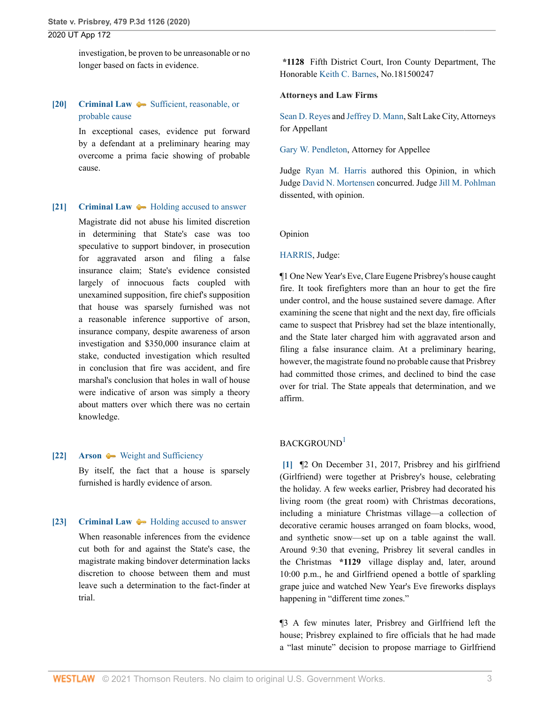investigation, be proven to be unreasonable or no longer based on facts in evidence.

## <span id="page-28-2"></span>**[\[20\]](#page-33-1) [Criminal Law](http://www.westlaw.com/Browse/Home/KeyNumber/110/View.html?docGuid=Iebcd7750461911eba075d817282e94c2&originationContext=document&vr=3.0&rs=cblt1.0&transitionType=DocumentItem&contextData=(sc.Search))**  $\blacklozenge$  **Sufficient**, reasonable, or [probable cause](http://www.westlaw.com/Browse/Home/KeyNumber/110k238(2)/View.html?docGuid=Iebcd7750461911eba075d817282e94c2&originationContext=document&vr=3.0&rs=cblt1.0&transitionType=DocumentItem&contextData=(sc.Search))

In exceptional cases, evidence put forward by a defendant at a preliminary hearing may overcome a prima facie showing of probable cause.

#### <span id="page-28-0"></span>**[\[21\]](#page-33-2) [Criminal Law](http://www.westlaw.com/Browse/Home/KeyNumber/110/View.html?docGuid=Iebcd7750461911eba075d817282e94c2&originationContext=document&vr=3.0&rs=cblt1.0&transitionType=DocumentItem&contextData=(sc.Search))**  $\rightarrow$  [Holding accused to answer](http://www.westlaw.com/Browse/Home/KeyNumber/110k240/View.html?docGuid=Iebcd7750461911eba075d817282e94c2&originationContext=document&vr=3.0&rs=cblt1.0&transitionType=DocumentItem&contextData=(sc.Search))

Magistrate did not abuse his limited discretion in determining that State's case was too speculative to support bindover, in prosecution for aggravated arson and filing a false insurance claim; State's evidence consisted largely of innocuous facts coupled with unexamined supposition, fire chief's supposition that house was sparsely furnished was not a reasonable inference supportive of arson, insurance company, despite awareness of arson investigation and \$350,000 insurance claim at stake, conducted investigation which resulted in conclusion that fire was accident, and fire marshal's conclusion that holes in wall of house were indicative of arson was simply a theory about matters over which there was no certain knowledge.

#### <span id="page-28-3"></span>**[\[22\]](#page-33-3) [Arson](http://www.westlaw.com/Browse/Home/KeyNumber/36/View.html?docGuid=Iebcd7750461911eba075d817282e94c2&originationContext=document&vr=3.0&rs=cblt1.0&transitionType=DocumentItem&contextData=(sc.Search))**  $\blacklozenge$  **[Weight and Sufficiency](http://www.westlaw.com/Browse/Home/KeyNumber/36k37/View.html?docGuid=Iebcd7750461911eba075d817282e94c2&originationContext=document&vr=3.0&rs=cblt1.0&transitionType=DocumentItem&contextData=(sc.Search))**

By itself, the fact that a house is sparsely furnished is hardly evidence of arson.

#### <span id="page-28-4"></span>**[\[23\]](#page-34-0) [Criminal Law](http://www.westlaw.com/Browse/Home/KeyNumber/110/View.html?docGuid=Iebcd7750461911eba075d817282e94c2&originationContext=document&vr=3.0&rs=cblt1.0&transitionType=DocumentItem&contextData=(sc.Search))**  $\rightarrow$  [Holding accused to answer](http://www.westlaw.com/Browse/Home/KeyNumber/110k240/View.html?docGuid=Iebcd7750461911eba075d817282e94c2&originationContext=document&vr=3.0&rs=cblt1.0&transitionType=DocumentItem&contextData=(sc.Search))

When reasonable inferences from the evidence cut both for and against the State's case, the magistrate making bindover determination lacks discretion to choose between them and must leave such a determination to the fact-finder at trial.

**\*1128** Fifth District Court, Iron County Department, The Honorable [Keith C. Barnes,](http://www.westlaw.com/Link/Document/FullText?findType=h&pubNum=176284&cite=0507126801&originatingDoc=Iebcd7750461911eba075d817282e94c2&refType=RQ&originationContext=document&vr=3.0&rs=cblt1.0&transitionType=DocumentItem&contextData=(sc.Search)) No.181500247

#### **Attorneys and Law Firms**

[Sean D. Reyes](http://www.westlaw.com/Link/Document/FullText?findType=h&pubNum=176284&cite=0325658901&originatingDoc=Iebcd7750461911eba075d817282e94c2&refType=RQ&originationContext=document&vr=3.0&rs=cblt1.0&transitionType=DocumentItem&contextData=(sc.Search)) and [Jeffrey D. Mann](http://www.westlaw.com/Link/Document/FullText?findType=h&pubNum=176284&cite=0481675201&originatingDoc=Iebcd7750461911eba075d817282e94c2&refType=RQ&originationContext=document&vr=3.0&rs=cblt1.0&transitionType=DocumentItem&contextData=(sc.Search)), Salt Lake City, Attorneys for Appellant

[Gary W. Pendleton,](http://www.westlaw.com/Link/Document/FullText?findType=h&pubNum=176284&cite=0296590201&originatingDoc=Iebcd7750461911eba075d817282e94c2&refType=RQ&originationContext=document&vr=3.0&rs=cblt1.0&transitionType=DocumentItem&contextData=(sc.Search)) Attorney for Appellee

Judge [Ryan M. Harris](http://www.westlaw.com/Link/Document/FullText?findType=h&pubNum=176284&cite=0313299201&originatingDoc=Iebcd7750461911eba075d817282e94c2&refType=RQ&originationContext=document&vr=3.0&rs=cblt1.0&transitionType=DocumentItem&contextData=(sc.Search)) authored this Opinion, in which Judge [David N. Mortensen](http://www.westlaw.com/Link/Document/FullText?findType=h&pubNum=176284&cite=0191128601&originatingDoc=Iebcd7750461911eba075d817282e94c2&refType=RQ&originationContext=document&vr=3.0&rs=cblt1.0&transitionType=DocumentItem&contextData=(sc.Search)) concurred. Judge [Jill M. Pohlman](http://www.westlaw.com/Link/Document/FullText?findType=h&pubNum=176284&cite=0244769899&originatingDoc=Iebcd7750461911eba075d817282e94c2&refType=RQ&originationContext=document&vr=3.0&rs=cblt1.0&transitionType=DocumentItem&contextData=(sc.Search)) dissented, with opinion.

#### Opinion

#### [HARRIS,](http://www.westlaw.com/Link/Document/FullText?findType=h&pubNum=176284&cite=0313299201&originatingDoc=Iebcd7750461911eba075d817282e94c2&refType=RQ&originationContext=document&vr=3.0&rs=cblt1.0&transitionType=DocumentItem&contextData=(sc.Search)) Judge:

¶1 One New Year's Eve, Clare Eugene Prisbrey's house caught fire. It took firefighters more than an hour to get the fire under control, and the house sustained severe damage. After examining the scene that night and the next day, fire officials came to suspect that Prisbrey had set the blaze intentionally, and the State later charged him with aggravated arson and filing a false insurance claim. At a preliminary hearing, however, the magistrate found no probable cause that Prisbrey had committed those crimes, and declined to bind the case over for trial. The State appeals that determination, and we affirm.

#### <span id="page-28-5"></span> $BACKGROUND<sup>1</sup>$  $BACKGROUND<sup>1</sup>$  $BACKGROUND<sup>1</sup>$

<span id="page-28-1"></span>**[\[1\]](#page-26-0)** ¶2 On December 31, 2017, Prisbrey and his girlfriend (Girlfriend) were together at Prisbrey's house, celebrating the holiday. A few weeks earlier, Prisbrey had decorated his living room (the great room) with Christmas decorations, including a miniature Christmas village—a collection of decorative ceramic houses arranged on foam blocks, wood, and synthetic snow—set up on a table against the wall. Around 9:30 that evening, Prisbrey lit several candles in the Christmas **\*1129** village display and, later, around 10:00 p.m., he and Girlfriend opened a bottle of sparkling grape juice and watched New Year's Eve fireworks displays happening in "different time zones."

¶3 A few minutes later, Prisbrey and Girlfriend left the house; Prisbrey explained to fire officials that he had made a "last minute" decision to propose marriage to Girlfriend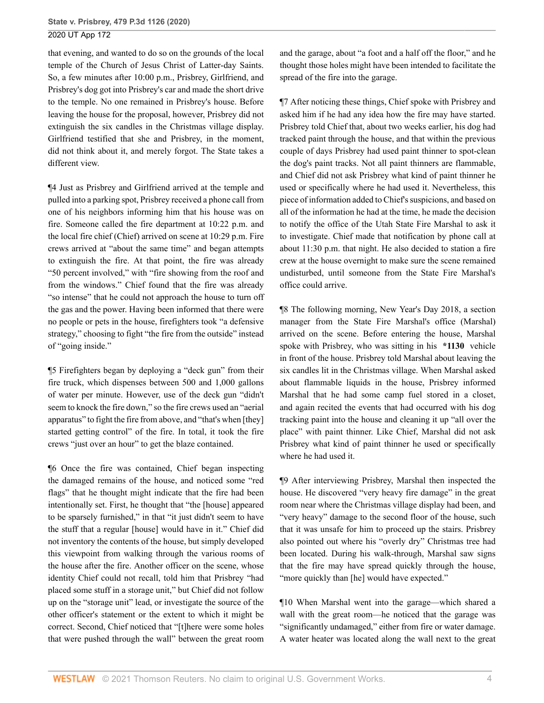that evening, and wanted to do so on the grounds of the local temple of the Church of Jesus Christ of Latter-day Saints. So, a few minutes after 10:00 p.m., Prisbrey, Girlfriend, and Prisbrey's dog got into Prisbrey's car and made the short drive to the temple. No one remained in Prisbrey's house. Before leaving the house for the proposal, however, Prisbrey did not extinguish the six candles in the Christmas village display. Girlfriend testified that she and Prisbrey, in the moment, did not think about it, and merely forgot. The State takes a different view.

¶4 Just as Prisbrey and Girlfriend arrived at the temple and pulled into a parking spot, Prisbrey received a phone call from one of his neighbors informing him that his house was on fire. Someone called the fire department at 10:22 p.m. and the local fire chief (Chief) arrived on scene at 10:29 p.m. Fire crews arrived at "about the same time" and began attempts to extinguish the fire. At that point, the fire was already "50 percent involved," with "fire showing from the roof and from the windows." Chief found that the fire was already "so intense" that he could not approach the house to turn off the gas and the power. Having been informed that there were no people or pets in the house, firefighters took "a defensive strategy," choosing to fight "the fire from the outside" instead of "going inside."

¶5 Firefighters began by deploying a "deck gun" from their fire truck, which dispenses between 500 and 1,000 gallons of water per minute. However, use of the deck gun "didn't seem to knock the fire down," so the fire crews used an "aerial apparatus" to fight the fire from above, and "that's when [they] started getting control" of the fire. In total, it took the fire crews "just over an hour" to get the blaze contained.

¶6 Once the fire was contained, Chief began inspecting the damaged remains of the house, and noticed some "red flags" that he thought might indicate that the fire had been intentionally set. First, he thought that "the [house] appeared to be sparsely furnished," in that "it just didn't seem to have the stuff that a regular [house] would have in it." Chief did not inventory the contents of the house, but simply developed this viewpoint from walking through the various rooms of the house after the fire. Another officer on the scene, whose identity Chief could not recall, told him that Prisbrey "had placed some stuff in a storage unit," but Chief did not follow up on the "storage unit" lead, or investigate the source of the other officer's statement or the extent to which it might be correct. Second, Chief noticed that "[t]here were some holes that were pushed through the wall" between the great room

and the garage, about "a foot and a half off the floor," and he thought those holes might have been intended to facilitate the spread of the fire into the garage.

¶7 After noticing these things, Chief spoke with Prisbrey and asked him if he had any idea how the fire may have started. Prisbrey told Chief that, about two weeks earlier, his dog had tracked paint through the house, and that within the previous couple of days Prisbrey had used paint thinner to spot-clean the dog's paint tracks. Not all paint thinners are flammable, and Chief did not ask Prisbrey what kind of paint thinner he used or specifically where he had used it. Nevertheless, this piece of information added to Chief's suspicions, and based on all of the information he had at the time, he made the decision to notify the office of the Utah State Fire Marshal to ask it to investigate. Chief made that notification by phone call at about 11:30 p.m. that night. He also decided to station a fire crew at the house overnight to make sure the scene remained undisturbed, until someone from the State Fire Marshal's office could arrive.

¶8 The following morning, New Year's Day 2018, a section manager from the State Fire Marshal's office (Marshal) arrived on the scene. Before entering the house, Marshal spoke with Prisbrey, who was sitting in his **\*1130** vehicle in front of the house. Prisbrey told Marshal about leaving the six candles lit in the Christmas village. When Marshal asked about flammable liquids in the house, Prisbrey informed Marshal that he had some camp fuel stored in a closet, and again recited the events that had occurred with his dog tracking paint into the house and cleaning it up "all over the place" with paint thinner. Like Chief, Marshal did not ask Prisbrey what kind of paint thinner he used or specifically where he had used it.

¶9 After interviewing Prisbrey, Marshal then inspected the house. He discovered "very heavy fire damage" in the great room near where the Christmas village display had been, and "very heavy" damage to the second floor of the house, such that it was unsafe for him to proceed up the stairs. Prisbrey also pointed out where his "overly dry" Christmas tree had been located. During his walk-through, Marshal saw signs that the fire may have spread quickly through the house, "more quickly than [he] would have expected."

¶10 When Marshal went into the garage—which shared a wall with the great room—he noticed that the garage was "significantly undamaged," either from fire or water damage. A water heater was located along the wall next to the great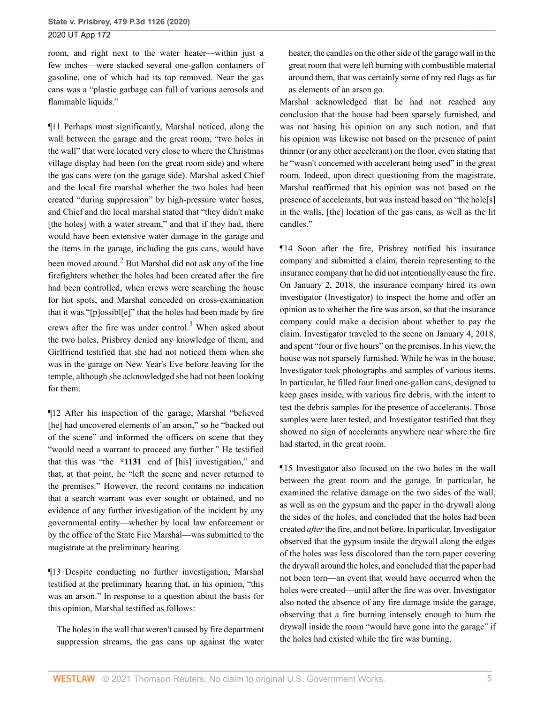room, and right next to the water heater—within just a few inches—were stacked several one-gallon containers of gasoline, one of which had its top removed. Near the gas cans was a "plastic garbage can full of various aerosols and flammable liquids."

<span id="page-30-0"></span>¶11 Perhaps most significantly, Marshal noticed, along the wall between the garage and the great room, "two holes in the wall" that were located very close to where the Christmas village display had been (on the great room side) and where the gas cans were (on the garage side). Marshal asked Chief and the local fire marshal whether the two holes had been created "during suppression" by high-pressure water hoses, and Chief and the local marshal stated that "they didn't make [the holes] with a water stream," and that if they had, there would have been extensive water damage in the garage and the items in the garage, including the gas cans, would have been moved around.<sup>[2](#page-36-1)</sup> But Marshal did not ask any of the line firefighters whether the holes had been created after the fire had been controlled, when crews were searching the house for hot spots, and Marshal conceded on cross-examination that it was "[p]ossibl[e]" that the holes had been made by fire crews after the fire was under control.<sup>[3](#page-36-2)</sup> When asked about the two holes, Prisbrey denied any knowledge of them, and Girlfriend testified that she had not noticed them when she was in the garage on New Year's Eve before leaving for the temple, although she acknowledged she had not been looking for them.

¶12 After his inspection of the garage, Marshal "believed [he] had uncovered elements of an arson," so he "backed out of the scene" and informed the officers on scene that they "would need a warrant to proceed any further." He testified that this was "the **\*1131** end of [his] investigation," and that, at that point, he "left the scene and never returned to the premises." However, the record contains no indication that a search warrant was ever sought or obtained, and no evidence of any further investigation of the incident by any governmental entity—whether by local law enforcement or by the office of the State Fire Marshal—was submitted to the magistrate at the preliminary hearing.

¶13 Despite conducting no further investigation, Marshal testified at the preliminary hearing that, in his opinion, "this was an arson." In response to a question about the basis for this opinion, Marshal testified as follows:

The holes in the wall that weren't caused by fire department suppression streams, the gas cans up against the water heater, the candles on the other side of the garage wall in the great room that were left burning with combustible material around them, that was certainly some of my red flags as far as elements of an arson go.

Marshal acknowledged that he had not reached any conclusion that the house had been sparsely furnished, and was not basing his opinion on any such notion, and that his opinion was likewise not based on the presence of paint thinner (or any other accelerant) on the floor, even stating that he "wasn't concerned with accelerant being used" in the great room. Indeed, upon direct questioning from the magistrate, Marshal reaffirmed that his opinion was not based on the presence of accelerants, but was instead based on "the hole[s] in the walls, [the] location of the gas cans, as well as the lit candles."

<span id="page-30-1"></span>¶14 Soon after the fire, Prisbrey notified his insurance company and submitted a claim, therein representing to the insurance company that he did not intentionally cause the fire. On January 2, 2018, the insurance company hired its own investigator (Investigator) to inspect the home and offer an opinion as to whether the fire was arson, so that the insurance company could make a decision about whether to pay the claim. Investigator traveled to the scene on January 4, 2018, and spent "four or five hours" on the premises. In his view, the house was not sparsely furnished. While he was in the house, Investigator took photographs and samples of various items. In particular, he filled four lined one-gallon cans, designed to keep gases inside, with various fire debris, with the intent to test the debris samples for the presence of accelerants. Those samples were later tested, and Investigator testified that they showed no sign of accelerants anywhere near where the fire had started, in the great room.

¶15 Investigator also focused on the two holes in the wall between the great room and the garage. In particular, he examined the relative damage on the two sides of the wall, as well as on the gypsum and the paper in the drywall along the sides of the holes, and concluded that the holes had been created *after* the fire, and not before. In particular, Investigator observed that the gypsum inside the drywall along the edges of the holes was less discolored than the torn paper covering the drywall around the holes, and concluded that the paper had not been torn—an event that would have occurred when the holes were created—until after the fire was over. Investigator also noted the absence of any fire damage inside the garage, observing that a fire burning intensely enough to burn the drywall inside the room "would have gone into the garage" if the holes had existed while the fire was burning.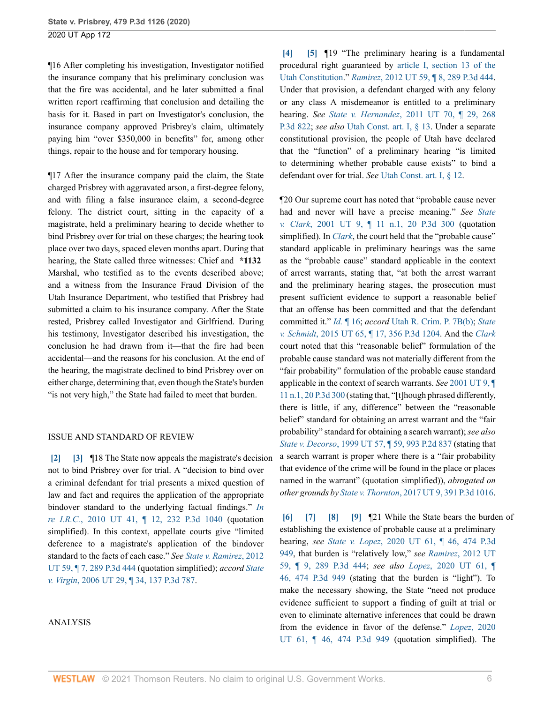¶16 After completing his investigation, Investigator notified the insurance company that his preliminary conclusion was that the fire was accidental, and he later submitted a final written report reaffirming that conclusion and detailing the basis for it. Based in part on Investigator's conclusion, the insurance company approved Prisbrey's claim, ultimately paying him "over \$350,000 in benefits" for, among other things, repair to the house and for temporary housing.

¶17 After the insurance company paid the claim, the State charged Prisbrey with aggravated arson, a first-degree felony, and with filing a false insurance claim, a second-degree felony. The district court, sitting in the capacity of a magistrate, held a preliminary hearing to decide whether to bind Prisbrey over for trial on these charges; the hearing took place over two days, spaced eleven months apart. During that hearing, the State called three witnesses: Chief and **\*1132** Marshal, who testified as to the events described above; and a witness from the Insurance Fraud Division of the Utah Insurance Department, who testified that Prisbrey had submitted a claim to his insurance company. After the State rested, Prisbrey called Investigator and Girlfriend. During his testimony, Investigator described his investigation, the conclusion he had drawn from it—that the fire had been accidental—and the reasons for his conclusion. At the end of the hearing, the magistrate declined to bind Prisbrey over on either charge, determining that, even though the State's burden "is not very high," the State had failed to meet that burden.

#### ISSUE AND STANDARD OF REVIEW

<span id="page-31-1"></span><span id="page-31-0"></span>**[\[2\]](#page-26-1) [\[3\]](#page-26-2)** ¶18 The State now appeals the magistrate's decision not to bind Prisbrey over for trial. A "decision to bind over a criminal defendant for trial presents a mixed question of law and fact and requires the application of the appropriate bindover standard to the underlying factual findings." *[In](http://www.westlaw.com/Link/Document/FullText?findType=Y&serNum=2021992994&pubNum=0004645&originatingDoc=Iebcd7750461911eba075d817282e94c2&refType=RP&originationContext=document&vr=3.0&rs=cblt1.0&transitionType=DocumentItem&contextData=(sc.Search)) re I.R.C.*[, 2010 UT 41, ¶ 12, 232 P.3d 1040](http://www.westlaw.com/Link/Document/FullText?findType=Y&serNum=2021992994&pubNum=0004645&originatingDoc=Iebcd7750461911eba075d817282e94c2&refType=RP&originationContext=document&vr=3.0&rs=cblt1.0&transitionType=DocumentItem&contextData=(sc.Search)) (quotation simplified). In this context, appellate courts give "limited deference to a magistrate's application of the bindover standard to the facts of each case." *See [State v. Ramirez](http://www.westlaw.com/Link/Document/FullText?findType=Y&serNum=2028636117&pubNum=0004645&originatingDoc=Iebcd7750461911eba075d817282e94c2&refType=RP&originationContext=document&vr=3.0&rs=cblt1.0&transitionType=DocumentItem&contextData=(sc.Search))*, 2012 [UT 59, ¶ 7, 289 P.3d 444](http://www.westlaw.com/Link/Document/FullText?findType=Y&serNum=2028636117&pubNum=0004645&originatingDoc=Iebcd7750461911eba075d817282e94c2&refType=RP&originationContext=document&vr=3.0&rs=cblt1.0&transitionType=DocumentItem&contextData=(sc.Search)) (quotation simplified); *accord [State](http://www.westlaw.com/Link/Document/FullText?findType=Y&serNum=2009159603&pubNum=0004645&originatingDoc=Iebcd7750461911eba075d817282e94c2&refType=RP&originationContext=document&vr=3.0&rs=cblt1.0&transitionType=DocumentItem&contextData=(sc.Search)) v. Virgin*[, 2006 UT 29, ¶ 34, 137 P.3d 787](http://www.westlaw.com/Link/Document/FullText?findType=Y&serNum=2009159603&pubNum=0004645&originatingDoc=Iebcd7750461911eba075d817282e94c2&refType=RP&originationContext=document&vr=3.0&rs=cblt1.0&transitionType=DocumentItem&contextData=(sc.Search)).

#### ANALYSIS

<span id="page-31-3"></span><span id="page-31-2"></span>**[\[4\]](#page-26-3) [\[5](#page-26-4)]** ¶19 "The preliminary hearing is a fundamental procedural right guaranteed by [article I, section 13 of the](http://www.westlaw.com/Link/Document/FullText?findType=L&pubNum=1000512&cite=UTCNART1S13&originatingDoc=Iebcd7750461911eba075d817282e94c2&refType=LQ&originationContext=document&vr=3.0&rs=cblt1.0&transitionType=DocumentItem&contextData=(sc.Search)) [Utah Constitution](http://www.westlaw.com/Link/Document/FullText?findType=L&pubNum=1000512&cite=UTCNART1S13&originatingDoc=Iebcd7750461911eba075d817282e94c2&refType=LQ&originationContext=document&vr=3.0&rs=cblt1.0&transitionType=DocumentItem&contextData=(sc.Search))." *Ramirez*[, 2012 UT 59, ¶ 8, 289 P.3d 444.](http://www.westlaw.com/Link/Document/FullText?findType=Y&serNum=2028636117&pubNum=0004645&originatingDoc=Iebcd7750461911eba075d817282e94c2&refType=RP&originationContext=document&vr=3.0&rs=cblt1.0&transitionType=DocumentItem&contextData=(sc.Search)) Under that provision, a defendant charged with any felony or any class A misdemeanor is entitled to a preliminary hearing. *See State v. Hernandez*[, 2011 UT 70, ¶ 29, 268](http://www.westlaw.com/Link/Document/FullText?findType=Y&serNum=2026467778&pubNum=0004645&originatingDoc=Iebcd7750461911eba075d817282e94c2&refType=RP&originationContext=document&vr=3.0&rs=cblt1.0&transitionType=DocumentItem&contextData=(sc.Search)) [P.3d 822;](http://www.westlaw.com/Link/Document/FullText?findType=Y&serNum=2026467778&pubNum=0004645&originatingDoc=Iebcd7750461911eba075d817282e94c2&refType=RP&originationContext=document&vr=3.0&rs=cblt1.0&transitionType=DocumentItem&contextData=(sc.Search)) *see also* [Utah Const. art. I, § 13.](http://www.westlaw.com/Link/Document/FullText?findType=L&pubNum=1000512&cite=UTCNART1S13&originatingDoc=Iebcd7750461911eba075d817282e94c2&refType=LQ&originationContext=document&vr=3.0&rs=cblt1.0&transitionType=DocumentItem&contextData=(sc.Search)) Under a separate constitutional provision, the people of Utah have declared that the "function" of a preliminary hearing "is limited to determining whether probable cause exists" to bind a defendant over for trial. *See* [Utah Const. art. I, § 12](http://www.westlaw.com/Link/Document/FullText?findType=L&pubNum=1000512&cite=UTCNART1S12&originatingDoc=Iebcd7750461911eba075d817282e94c2&refType=LQ&originationContext=document&vr=3.0&rs=cblt1.0&transitionType=DocumentItem&contextData=(sc.Search)).

¶20 Our supreme court has noted that "probable cause never had and never will have a precise meaning." *See [State](http://www.westlaw.com/Link/Document/FullText?findType=Y&serNum=2001123153&pubNum=0004645&originatingDoc=Iebcd7750461911eba075d817282e94c2&refType=RP&originationContext=document&vr=3.0&rs=cblt1.0&transitionType=DocumentItem&contextData=(sc.Search)) v. Clark*[, 2001 UT 9, ¶ 11 n.1, 20 P.3d 300](http://www.westlaw.com/Link/Document/FullText?findType=Y&serNum=2001123153&pubNum=0004645&originatingDoc=Iebcd7750461911eba075d817282e94c2&refType=RP&originationContext=document&vr=3.0&rs=cblt1.0&transitionType=DocumentItem&contextData=(sc.Search)) (quotation simplified). In *[Clark](http://www.westlaw.com/Link/Document/FullText?findType=Y&serNum=2001123153&pubNum=0004645&originatingDoc=Iebcd7750461911eba075d817282e94c2&refType=RP&originationContext=document&vr=3.0&rs=cblt1.0&transitionType=DocumentItem&contextData=(sc.Search))*, the court held that the "probable cause" standard applicable in preliminary hearings was the same as the "probable cause" standard applicable in the context of arrest warrants, stating that, "at both the arrest warrant and the preliminary hearing stages, the prosecution must present sufficient evidence to support a reasonable belief that an offense has been committed and that the defendant committed it." *Id.* [¶ 16;](http://www.westlaw.com/Link/Document/FullText?findType=Y&serNum=2001123153&pubNum=0004649&originatingDoc=Iebcd7750461911eba075d817282e94c2&refType=RP&originationContext=document&vr=3.0&rs=cblt1.0&transitionType=DocumentItem&contextData=(sc.Search)) *accord* [Utah R. Crim. P. 7B\(b\);](http://www.westlaw.com/Link/Document/FullText?findType=L&pubNum=1003937&cite=UTRRCRPR7B&originatingDoc=Iebcd7750461911eba075d817282e94c2&refType=LQ&originationContext=document&vr=3.0&rs=cblt1.0&transitionType=DocumentItem&contextData=(sc.Search)) *[State](http://www.westlaw.com/Link/Document/FullText?findType=Y&serNum=2036857493&pubNum=0004645&originatingDoc=Iebcd7750461911eba075d817282e94c2&refType=RP&originationContext=document&vr=3.0&rs=cblt1.0&transitionType=DocumentItem&contextData=(sc.Search)) v. Schmidt*[, 2015 UT 65, ¶ 17, 356 P.3d 1204](http://www.westlaw.com/Link/Document/FullText?findType=Y&serNum=2036857493&pubNum=0004645&originatingDoc=Iebcd7750461911eba075d817282e94c2&refType=RP&originationContext=document&vr=3.0&rs=cblt1.0&transitionType=DocumentItem&contextData=(sc.Search)). And the *[Clark](http://www.westlaw.com/Link/Document/FullText?findType=Y&serNum=2001123153&pubNum=0004645&originatingDoc=Iebcd7750461911eba075d817282e94c2&refType=RP&originationContext=document&vr=3.0&rs=cblt1.0&transitionType=DocumentItem&contextData=(sc.Search))* court noted that this "reasonable belief" formulation of the probable cause standard was not materially different from the "fair probability" formulation of the probable cause standard applicable in the context of search warrants. *See* [2001 UT 9, ¶](http://www.westlaw.com/Link/Document/FullText?findType=Y&serNum=2001123153&pubNum=0004645&originatingDoc=Iebcd7750461911eba075d817282e94c2&refType=RP&originationContext=document&vr=3.0&rs=cblt1.0&transitionType=DocumentItem&contextData=(sc.Search)) [11 n.1, 20 P.3d 300](http://www.westlaw.com/Link/Document/FullText?findType=Y&serNum=2001123153&pubNum=0004645&originatingDoc=Iebcd7750461911eba075d817282e94c2&refType=RP&originationContext=document&vr=3.0&rs=cblt1.0&transitionType=DocumentItem&contextData=(sc.Search)) (stating that, "[t]hough phrased differently, there is little, if any, difference" between the "reasonable belief" standard for obtaining an arrest warrant and the "fair probability" standard for obtaining a search warrant); *see also State v. Decorso*[, 1999 UT 57, ¶ 59, 993 P.2d 837](http://www.westlaw.com/Link/Document/FullText?findType=Y&serNum=1999133949&pubNum=0000661&originatingDoc=Iebcd7750461911eba075d817282e94c2&refType=RP&originationContext=document&vr=3.0&rs=cblt1.0&transitionType=DocumentItem&contextData=(sc.Search)) (stating that a search warrant is proper where there is a "fair probability that evidence of the crime will be found in the place or places named in the warrant" (quotation simplified)), *abrogated on other grounds by State v. Thornton*[, 2017 UT 9, 391 P.3d 1016.](http://www.westlaw.com/Link/Document/FullText?findType=Y&serNum=2040998222&pubNum=0004645&originatingDoc=Iebcd7750461911eba075d817282e94c2&refType=RP&originationContext=document&vr=3.0&rs=cblt1.0&transitionType=DocumentItem&contextData=(sc.Search))

<span id="page-31-7"></span><span id="page-31-6"></span><span id="page-31-5"></span><span id="page-31-4"></span>**[\[6\]](#page-26-5) [\[7\]](#page-26-6) [\[8](#page-26-7)] [\[9\]](#page-27-0)** ¶21 While the State bears the burden of establishing the existence of probable cause at a preliminary hearing, *see State v. Lopez*[, 2020 UT 61, ¶ 46, 474 P.3d](http://www.westlaw.com/Link/Document/FullText?findType=Y&serNum=2051681108&pubNum=0004645&originatingDoc=Iebcd7750461911eba075d817282e94c2&refType=RP&originationContext=document&vr=3.0&rs=cblt1.0&transitionType=DocumentItem&contextData=(sc.Search)) [949](http://www.westlaw.com/Link/Document/FullText?findType=Y&serNum=2051681108&pubNum=0004645&originatingDoc=Iebcd7750461911eba075d817282e94c2&refType=RP&originationContext=document&vr=3.0&rs=cblt1.0&transitionType=DocumentItem&contextData=(sc.Search)), that burden is "relatively low," *see Ramirez*[, 2012 UT](http://www.westlaw.com/Link/Document/FullText?findType=Y&serNum=2028636117&pubNum=0004645&originatingDoc=Iebcd7750461911eba075d817282e94c2&refType=RP&originationContext=document&vr=3.0&rs=cblt1.0&transitionType=DocumentItem&contextData=(sc.Search)) [59, ¶ 9, 289 P.3d 444;](http://www.westlaw.com/Link/Document/FullText?findType=Y&serNum=2028636117&pubNum=0004645&originatingDoc=Iebcd7750461911eba075d817282e94c2&refType=RP&originationContext=document&vr=3.0&rs=cblt1.0&transitionType=DocumentItem&contextData=(sc.Search)) *see also Lopez*[, 2020 UT 61, ¶](http://www.westlaw.com/Link/Document/FullText?findType=Y&serNum=2051681108&pubNum=0004645&originatingDoc=Iebcd7750461911eba075d817282e94c2&refType=RP&originationContext=document&vr=3.0&rs=cblt1.0&transitionType=DocumentItem&contextData=(sc.Search)) [46, 474 P.3d 949](http://www.westlaw.com/Link/Document/FullText?findType=Y&serNum=2051681108&pubNum=0004645&originatingDoc=Iebcd7750461911eba075d817282e94c2&refType=RP&originationContext=document&vr=3.0&rs=cblt1.0&transitionType=DocumentItem&contextData=(sc.Search)) (stating that the burden is "light"). To make the necessary showing, the State "need not produce evidence sufficient to support a finding of guilt at trial or even to eliminate alternative inferences that could be drawn from the evidence in favor of the defense." *Lopez*[, 2020](http://www.westlaw.com/Link/Document/FullText?findType=Y&serNum=2051681108&pubNum=0004645&originatingDoc=Iebcd7750461911eba075d817282e94c2&refType=RP&originationContext=document&vr=3.0&rs=cblt1.0&transitionType=DocumentItem&contextData=(sc.Search)) [UT 61, ¶ 46, 474 P.3d 949](http://www.westlaw.com/Link/Document/FullText?findType=Y&serNum=2051681108&pubNum=0004645&originatingDoc=Iebcd7750461911eba075d817282e94c2&refType=RP&originationContext=document&vr=3.0&rs=cblt1.0&transitionType=DocumentItem&contextData=(sc.Search)) (quotation simplified). The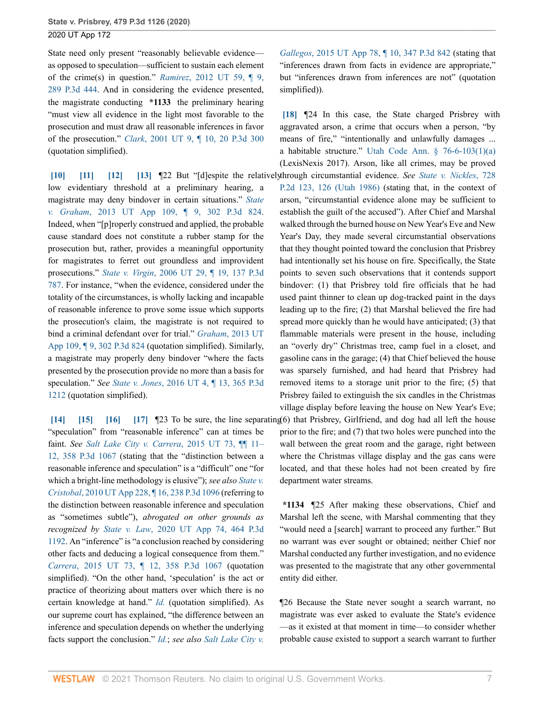State need only present "reasonably believable evidence as opposed to speculation—sufficient to sustain each element of the crime(s) in question." *Ramirez*[, 2012 UT 59, ¶ 9,](http://www.westlaw.com/Link/Document/FullText?findType=Y&serNum=2028636117&pubNum=0004645&originatingDoc=Iebcd7750461911eba075d817282e94c2&refType=RP&originationContext=document&vr=3.0&rs=cblt1.0&transitionType=DocumentItem&contextData=(sc.Search)) [289 P.3d 444](http://www.westlaw.com/Link/Document/FullText?findType=Y&serNum=2028636117&pubNum=0004645&originatingDoc=Iebcd7750461911eba075d817282e94c2&refType=RP&originationContext=document&vr=3.0&rs=cblt1.0&transitionType=DocumentItem&contextData=(sc.Search)). And in considering the evidence presented, the magistrate conducting **\*1133** the preliminary hearing "must view all evidence in the light most favorable to the prosecution and must draw all reasonable inferences in favor of the prosecution." *Clark*[, 2001 UT 9, ¶ 10, 20 P.3d 300](http://www.westlaw.com/Link/Document/FullText?findType=Y&serNum=2001123153&pubNum=0004645&originatingDoc=Iebcd7750461911eba075d817282e94c2&refType=RP&originationContext=document&vr=3.0&rs=cblt1.0&transitionType=DocumentItem&contextData=(sc.Search)) (quotation simplified).

<span id="page-32-3"></span><span id="page-32-2"></span><span id="page-32-1"></span><span id="page-32-0"></span>**[\[10\]](#page-27-1) [\[11\]](#page-27-2) [\[12](#page-27-3)] [\[13\]](#page-27-4)** ¶22 But "[d]espite the relatively through circumstantial evidence. *See [State v. Nickles](http://www.westlaw.com/Link/Document/FullText?findType=Y&serNum=1986151647&pubNum=0000661&originatingDoc=Iebcd7750461911eba075d817282e94c2&refType=RP&fi=co_pp_sp_661_126&originationContext=document&vr=3.0&rs=cblt1.0&transitionType=DocumentItem&contextData=(sc.Search)#co_pp_sp_661_126)*, 728 low evidentiary threshold at a preliminary hearing, a magistrate may deny bindover in certain situations." *[State](http://www.westlaw.com/Link/Document/FullText?findType=Y&serNum=2030463143&pubNum=0004645&originatingDoc=Iebcd7750461911eba075d817282e94c2&refType=RP&originationContext=document&vr=3.0&rs=cblt1.0&transitionType=DocumentItem&contextData=(sc.Search)) v. Graham*[, 2013 UT App 109, ¶ 9, 302 P.3d 824](http://www.westlaw.com/Link/Document/FullText?findType=Y&serNum=2030463143&pubNum=0004645&originatingDoc=Iebcd7750461911eba075d817282e94c2&refType=RP&originationContext=document&vr=3.0&rs=cblt1.0&transitionType=DocumentItem&contextData=(sc.Search)). Indeed, when "[p]roperly construed and applied, the probable cause standard does not constitute a rubber stamp for the prosecution but, rather, provides a meaningful opportunity for magistrates to ferret out groundless and improvident prosecutions." *State v. Virgin*[, 2006 UT 29, ¶ 19, 137 P.3d](http://www.westlaw.com/Link/Document/FullText?findType=Y&serNum=2009159603&pubNum=0004645&originatingDoc=Iebcd7750461911eba075d817282e94c2&refType=RP&originationContext=document&vr=3.0&rs=cblt1.0&transitionType=DocumentItem&contextData=(sc.Search)) [787](http://www.westlaw.com/Link/Document/FullText?findType=Y&serNum=2009159603&pubNum=0004645&originatingDoc=Iebcd7750461911eba075d817282e94c2&refType=RP&originationContext=document&vr=3.0&rs=cblt1.0&transitionType=DocumentItem&contextData=(sc.Search)). For instance, "when the evidence, considered under the totality of the circumstances, is wholly lacking and incapable of reasonable inference to prove some issue which supports the prosecution's claim, the magistrate is not required to bind a criminal defendant over for trial." *Graham*[, 2013 UT](http://www.westlaw.com/Link/Document/FullText?findType=Y&serNum=2030463143&pubNum=0004645&originatingDoc=Iebcd7750461911eba075d817282e94c2&refType=RP&originationContext=document&vr=3.0&rs=cblt1.0&transitionType=DocumentItem&contextData=(sc.Search)) [App 109, ¶ 9, 302 P.3d 824](http://www.westlaw.com/Link/Document/FullText?findType=Y&serNum=2030463143&pubNum=0004645&originatingDoc=Iebcd7750461911eba075d817282e94c2&refType=RP&originationContext=document&vr=3.0&rs=cblt1.0&transitionType=DocumentItem&contextData=(sc.Search)) (quotation simplified). Similarly, a magistrate may properly deny bindover "where the facts presented by the prosecution provide no more than a basis for speculation." *See State v. Jones*[, 2016 UT 4, ¶ 13, 365 P.3d](http://www.westlaw.com/Link/Document/FullText?findType=Y&serNum=2037982437&pubNum=0004645&originatingDoc=Iebcd7750461911eba075d817282e94c2&refType=RP&originationContext=document&vr=3.0&rs=cblt1.0&transitionType=DocumentItem&contextData=(sc.Search)) [1212](http://www.westlaw.com/Link/Document/FullText?findType=Y&serNum=2037982437&pubNum=0004645&originatingDoc=Iebcd7750461911eba075d817282e94c2&refType=RP&originationContext=document&vr=3.0&rs=cblt1.0&transitionType=DocumentItem&contextData=(sc.Search)) (quotation simplified).

<span id="page-32-7"></span><span id="page-32-6"></span><span id="page-32-5"></span><span id="page-32-4"></span>**[\[14\]](#page-27-5) [\[15\]](#page-27-6) [\[16\]](#page-27-7) [\[17\]](#page-27-8)** ¶23 To be sure, the line separating (6) that Prisbrey, Girlfriend, and dog had all left the house "speculation" from "reasonable inference" can at times be faint. *See [Salt Lake City v. Carrera](http://www.westlaw.com/Link/Document/FullText?findType=Y&serNum=2036884116&pubNum=0004645&originatingDoc=Iebcd7750461911eba075d817282e94c2&refType=RP&originationContext=document&vr=3.0&rs=cblt1.0&transitionType=DocumentItem&contextData=(sc.Search))*, 2015 UT 73, ¶¶ 11– [12, 358 P.3d 1067](http://www.westlaw.com/Link/Document/FullText?findType=Y&serNum=2036884116&pubNum=0004645&originatingDoc=Iebcd7750461911eba075d817282e94c2&refType=RP&originationContext=document&vr=3.0&rs=cblt1.0&transitionType=DocumentItem&contextData=(sc.Search)) (stating that the "distinction between a reasonable inference and speculation" is a "difficult" one "for which a bright-line methodology is elusive"); *see also [State v.](http://www.westlaw.com/Link/Document/FullText?findType=Y&serNum=2022800264&pubNum=0004645&originatingDoc=Iebcd7750461911eba075d817282e94c2&refType=RP&originationContext=document&vr=3.0&rs=cblt1.0&transitionType=DocumentItem&contextData=(sc.Search)) Cristobal*[, 2010 UT App 228, ¶ 16, 238 P.3d 1096](http://www.westlaw.com/Link/Document/FullText?findType=Y&serNum=2022800264&pubNum=0004645&originatingDoc=Iebcd7750461911eba075d817282e94c2&refType=RP&originationContext=document&vr=3.0&rs=cblt1.0&transitionType=DocumentItem&contextData=(sc.Search)) (referring to the distinction between reasonable inference and speculation as "sometimes subtle"), *abrogated on other grounds as recognized by State v. Law*[, 2020 UT App 74, 464 P.3d](http://www.westlaw.com/Link/Document/FullText?findType=Y&serNum=2050927230&pubNum=0004645&originatingDoc=Iebcd7750461911eba075d817282e94c2&refType=RP&originationContext=document&vr=3.0&rs=cblt1.0&transitionType=DocumentItem&contextData=(sc.Search)) [1192.](http://www.westlaw.com/Link/Document/FullText?findType=Y&serNum=2050927230&pubNum=0004645&originatingDoc=Iebcd7750461911eba075d817282e94c2&refType=RP&originationContext=document&vr=3.0&rs=cblt1.0&transitionType=DocumentItem&contextData=(sc.Search)) An "inference" is "a conclusion reached by considering other facts and deducing a logical consequence from them." *Carrera*[, 2015 UT 73, ¶ 12, 358 P.3d 1067](http://www.westlaw.com/Link/Document/FullText?findType=Y&serNum=2036884116&pubNum=0004645&originatingDoc=Iebcd7750461911eba075d817282e94c2&refType=RP&originationContext=document&vr=3.0&rs=cblt1.0&transitionType=DocumentItem&contextData=(sc.Search)) (quotation simplified). "On the other hand, 'speculation' is the act or practice of theorizing about matters over which there is no certain knowledge at hand." *[Id.](http://www.westlaw.com/Link/Document/FullText?findType=Y&serNum=2036884116&pubNum=0004649&originatingDoc=Iebcd7750461911eba075d817282e94c2&refType=RP&originationContext=document&vr=3.0&rs=cblt1.0&transitionType=DocumentItem&contextData=(sc.Search))* (quotation simplified). As our supreme court has explained, "the difference between an inference and speculation depends on whether the underlying facts support the conclusion." *[Id.](http://www.westlaw.com/Link/Document/FullText?findType=Y&serNum=2036884116&pubNum=0004649&originatingDoc=Iebcd7750461911eba075d817282e94c2&refType=RP&originationContext=document&vr=3.0&rs=cblt1.0&transitionType=DocumentItem&contextData=(sc.Search))*; *see also [Salt Lake City v.](http://www.westlaw.com/Link/Document/FullText?findType=Y&serNum=2035747813&pubNum=0004645&originatingDoc=Iebcd7750461911eba075d817282e94c2&refType=RP&originationContext=document&vr=3.0&rs=cblt1.0&transitionType=DocumentItem&contextData=(sc.Search))*

*Gallegos*[, 2015 UT App 78, ¶ 10, 347 P.3d 842](http://www.westlaw.com/Link/Document/FullText?findType=Y&serNum=2035747813&pubNum=0004645&originatingDoc=Iebcd7750461911eba075d817282e94c2&refType=RP&originationContext=document&vr=3.0&rs=cblt1.0&transitionType=DocumentItem&contextData=(sc.Search)) (stating that "inferences drawn from facts in evidence are appropriate," but "inferences drawn from inferences are not" (quotation simplified)).

<span id="page-32-8"></span>**[\[18\]](#page-27-9)** ¶24 In this case, the State charged Prisbrey with aggravated arson, a crime that occurs when a person, "by means of fire," "intentionally and unlawfully damages ... a habitable structure." [Utah Code Ann. § 76-6-103\(1\)\(a\)](http://www.westlaw.com/Link/Document/FullText?findType=L&pubNum=1000511&cite=UTSTS76-6-103&originatingDoc=Iebcd7750461911eba075d817282e94c2&refType=SP&originationContext=document&vr=3.0&rs=cblt1.0&transitionType=DocumentItem&contextData=(sc.Search)#co_pp_9f800000f2221) (LexisNexis 2017). Arson, like all crimes, may be proved

[P.2d 123, 126 \(Utah 1986\)](http://www.westlaw.com/Link/Document/FullText?findType=Y&serNum=1986151647&pubNum=0000661&originatingDoc=Iebcd7750461911eba075d817282e94c2&refType=RP&fi=co_pp_sp_661_126&originationContext=document&vr=3.0&rs=cblt1.0&transitionType=DocumentItem&contextData=(sc.Search)#co_pp_sp_661_126) (stating that, in the context of arson, "circumstantial evidence alone may be sufficient to establish the guilt of the accused"). After Chief and Marshal walked through the burned house on New Year's Eve and New Year's Day, they made several circumstantial observations that they thought pointed toward the conclusion that Prisbrey had intentionally set his house on fire. Specifically, the State points to seven such observations that it contends support bindover: (1) that Prisbrey told fire officials that he had used paint thinner to clean up dog-tracked paint in the days leading up to the fire; (2) that Marshal believed the fire had spread more quickly than he would have anticipated; (3) that flammable materials were present in the house, including an "overly dry" Christmas tree, camp fuel in a closet, and gasoline cans in the garage; (4) that Chief believed the house was sparsely furnished, and had heard that Prisbrey had removed items to a storage unit prior to the fire; (5) that Prisbrey failed to extinguish the six candles in the Christmas village display before leaving the house on New Year's Eve; prior to the fire; and (7) that two holes were punched into the wall between the great room and the garage, right between where the Christmas village display and the gas cans were located, and that these holes had not been created by fire

**\*1134** ¶25 After making these observations, Chief and Marshal left the scene, with Marshal commenting that they "would need a [search] warrant to proceed any further." But no warrant was ever sought or obtained; neither Chief nor Marshal conducted any further investigation, and no evidence was presented to the magistrate that any other governmental entity did either.

department water streams.

¶26 Because the State never sought a search warrant, no magistrate was ever asked to evaluate the State's evidence —as it existed at that moment in time—to consider whether probable cause existed to support a search warrant to further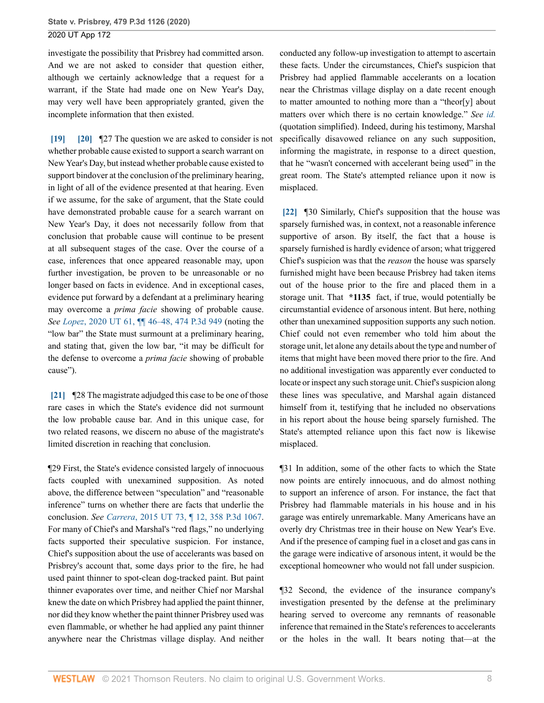investigate the possibility that Prisbrey had committed arson. And we are not asked to consider that question either, although we certainly acknowledge that a request for a warrant, if the State had made one on New Year's Day, may very well have been appropriately granted, given the incomplete information that then existed.

<span id="page-33-1"></span><span id="page-33-0"></span>**[\[19\]](#page-27-10) [\[20\]](#page-28-2)** ¶27 The question we are asked to consider is not whether probable cause existed to support a search warrant on New Year's Day, but instead whether probable cause existed to support bindover at the conclusion of the preliminary hearing, in light of all of the evidence presented at that hearing. Even if we assume, for the sake of argument, that the State could have demonstrated probable cause for a search warrant on New Year's Day, it does not necessarily follow from that conclusion that probable cause will continue to be present at all subsequent stages of the case. Over the course of a case, inferences that once appeared reasonable may, upon further investigation, be proven to be unreasonable or no longer based on facts in evidence. And in exceptional cases, evidence put forward by a defendant at a preliminary hearing may overcome a *prima facie* showing of probable cause. *See Lopez*[, 2020 UT 61, ¶¶ 46–48, 474 P.3d 949](http://www.westlaw.com/Link/Document/FullText?findType=Y&serNum=2051681108&pubNum=0004645&originatingDoc=Iebcd7750461911eba075d817282e94c2&refType=RP&originationContext=document&vr=3.0&rs=cblt1.0&transitionType=DocumentItem&contextData=(sc.Search)) (noting the "low bar" the State must surmount at a preliminary hearing, and stating that, given the low bar, "it may be difficult for the defense to overcome a *prima facie* showing of probable cause").

<span id="page-33-2"></span>**[\[21\]](#page-28-0)** ¶28 The magistrate adjudged this case to be one of those rare cases in which the State's evidence did not surmount the low probable cause bar. And in this unique case, for two related reasons, we discern no abuse of the magistrate's limited discretion in reaching that conclusion.

¶29 First, the State's evidence consisted largely of innocuous facts coupled with unexamined supposition. As noted above, the difference between "speculation" and "reasonable inference" turns on whether there are facts that underlie the conclusion. *See Carrera*[, 2015 UT 73, ¶ 12, 358 P.3d 1067](http://www.westlaw.com/Link/Document/FullText?findType=Y&serNum=2036884116&pubNum=0004645&originatingDoc=Iebcd7750461911eba075d817282e94c2&refType=RP&originationContext=document&vr=3.0&rs=cblt1.0&transitionType=DocumentItem&contextData=(sc.Search)). For many of Chief's and Marshal's "red flags," no underlying facts supported their speculative suspicion. For instance, Chief's supposition about the use of accelerants was based on Prisbrey's account that, some days prior to the fire, he had used paint thinner to spot-clean dog-tracked paint. But paint thinner evaporates over time, and neither Chief nor Marshal knew the date on which Prisbrey had applied the paint thinner, nor did they know whether the paint thinner Prisbrey used was even flammable, or whether he had applied any paint thinner anywhere near the Christmas village display. And neither

conducted any follow-up investigation to attempt to ascertain these facts. Under the circumstances, Chief's suspicion that Prisbrey had applied flammable accelerants on a location near the Christmas village display on a date recent enough to matter amounted to nothing more than a "theor[y] about matters over which there is no certain knowledge." *See [id.](http://www.westlaw.com/Link/Document/FullText?findType=Y&serNum=2036884116&pubNum=0004649&originatingDoc=Iebcd7750461911eba075d817282e94c2&refType=RP&originationContext=document&vr=3.0&rs=cblt1.0&transitionType=DocumentItem&contextData=(sc.Search))* (quotation simplified). Indeed, during his testimony, Marshal specifically disavowed reliance on any such supposition, informing the magistrate, in response to a direct question, that he "wasn't concerned with accelerant being used" in the great room. The State's attempted reliance upon it now is misplaced.

<span id="page-33-3"></span>**[\[22\]](#page-28-3)** ¶30 Similarly, Chief's supposition that the house was sparsely furnished was, in context, not a reasonable inference supportive of arson. By itself, the fact that a house is sparsely furnished is hardly evidence of arson; what triggered Chief's suspicion was that the *reason* the house was sparsely furnished might have been because Prisbrey had taken items out of the house prior to the fire and placed them in a storage unit. That **\*1135** fact, if true, would potentially be circumstantial evidence of arsonous intent. But here, nothing other than unexamined supposition supports any such notion. Chief could not even remember who told him about the storage unit, let alone any details about the type and number of items that might have been moved there prior to the fire. And no additional investigation was apparently ever conducted to locate or inspect any such storage unit. Chief's suspicion along these lines was speculative, and Marshal again distanced himself from it, testifying that he included no observations in his report about the house being sparsely furnished. The State's attempted reliance upon this fact now is likewise misplaced.

¶31 In addition, some of the other facts to which the State now points are entirely innocuous, and do almost nothing to support an inference of arson. For instance, the fact that Prisbrey had flammable materials in his house and in his garage was entirely unremarkable. Many Americans have an overly dry Christmas tree in their house on New Year's Eve. And if the presence of camping fuel in a closet and gas cans in the garage were indicative of arsonous intent, it would be the exceptional homeowner who would not fall under suspicion.

¶32 Second, the evidence of the insurance company's investigation presented by the defense at the preliminary hearing served to overcome any remnants of reasonable inference that remained in the State's references to accelerants or the holes in the wall. It bears noting that—at the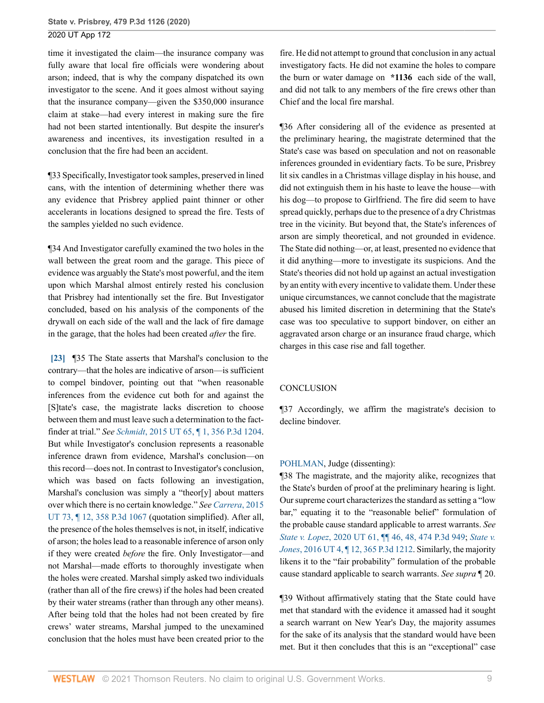time it investigated the claim—the insurance company was fully aware that local fire officials were wondering about arson; indeed, that is why the company dispatched its own investigator to the scene. And it goes almost without saying that the insurance company—given the \$350,000 insurance claim at stake—had every interest in making sure the fire had not been started intentionally. But despite the insurer's awareness and incentives, its investigation resulted in a conclusion that the fire had been an accident.

¶33 Specifically, Investigator took samples, preserved in lined cans, with the intention of determining whether there was any evidence that Prisbrey applied paint thinner or other accelerants in locations designed to spread the fire. Tests of the samples yielded no such evidence.

¶34 And Investigator carefully examined the two holes in the wall between the great room and the garage. This piece of evidence was arguably the State's most powerful, and the item upon which Marshal almost entirely rested his conclusion that Prisbrey had intentionally set the fire. But Investigator concluded, based on his analysis of the components of the drywall on each side of the wall and the lack of fire damage in the garage, that the holes had been created *after* the fire.

<span id="page-34-0"></span>**[\[23\]](#page-28-4)** ¶35 The State asserts that Marshal's conclusion to the contrary—that the holes are indicative of arson—is sufficient to compel bindover, pointing out that "when reasonable inferences from the evidence cut both for and against the [S]tate's case, the magistrate lacks discretion to choose between them and must leave such a determination to the factfinder at trial." *See Schmidt*[, 2015 UT 65, ¶ 1, 356 P.3d 1204](http://www.westlaw.com/Link/Document/FullText?findType=Y&serNum=2036857493&pubNum=0004645&originatingDoc=Iebcd7750461911eba075d817282e94c2&refType=RP&originationContext=document&vr=3.0&rs=cblt1.0&transitionType=DocumentItem&contextData=(sc.Search)). But while Investigator's conclusion represents a reasonable inference drawn from evidence, Marshal's conclusion—on this record—does not. In contrast to Investigator's conclusion, which was based on facts following an investigation, Marshal's conclusion was simply a "theor[y] about matters over which there is no certain knowledge." *See [Carrera](http://www.westlaw.com/Link/Document/FullText?findType=Y&serNum=2036884116&pubNum=0004645&originatingDoc=Iebcd7750461911eba075d817282e94c2&refType=RP&originationContext=document&vr=3.0&rs=cblt1.0&transitionType=DocumentItem&contextData=(sc.Search))*, 2015 [UT 73, ¶ 12, 358 P.3d 1067](http://www.westlaw.com/Link/Document/FullText?findType=Y&serNum=2036884116&pubNum=0004645&originatingDoc=Iebcd7750461911eba075d817282e94c2&refType=RP&originationContext=document&vr=3.0&rs=cblt1.0&transitionType=DocumentItem&contextData=(sc.Search)) (quotation simplified). After all, the presence of the holes themselves is not, in itself, indicative of arson; the holes lead to a reasonable inference of arson only if they were created *before* the fire. Only Investigator—and not Marshal—made efforts to thoroughly investigate when the holes were created. Marshal simply asked two individuals (rather than all of the fire crews) if the holes had been created by their water streams (rather than through any other means). After being told that the holes had not been created by fire crews' water streams, Marshal jumped to the unexamined conclusion that the holes must have been created prior to the

fire. He did not attempt to ground that conclusion in any actual investigatory facts. He did not examine the holes to compare the burn or water damage on **\*1136** each side of the wall, and did not talk to any members of the fire crews other than Chief and the local fire marshal.

¶36 After considering all of the evidence as presented at the preliminary hearing, the magistrate determined that the State's case was based on speculation and not on reasonable inferences grounded in evidentiary facts. To be sure, Prisbrey lit six candles in a Christmas village display in his house, and did not extinguish them in his haste to leave the house—with his dog—to propose to Girlfriend. The fire did seem to have spread quickly, perhaps due to the presence of a dry Christmas tree in the vicinity. But beyond that, the State's inferences of arson are simply theoretical, and not grounded in evidence. The State did nothing—or, at least, presented no evidence that it did anything—more to investigate its suspicions. And the State's theories did not hold up against an actual investigation by an entity with every incentive to validate them. Under these unique circumstances, we cannot conclude that the magistrate abused his limited discretion in determining that the State's case was too speculative to support bindover, on either an aggravated arson charge or an insurance fraud charge, which charges in this case rise and fall together.

#### **CONCLUSION**

¶37 Accordingly, we affirm the magistrate's decision to decline bindover.

#### [POHLMAN](http://www.westlaw.com/Link/Document/FullText?findType=h&pubNum=176284&cite=0244769899&originatingDoc=Iebcd7750461911eba075d817282e94c2&refType=RQ&originationContext=document&vr=3.0&rs=cblt1.0&transitionType=DocumentItem&contextData=(sc.Search)), Judge (dissenting):

¶38 The magistrate, and the majority alike, recognizes that the State's burden of proof at the preliminary hearing is light. Our supreme court characterizes the standard as setting a "low bar," equating it to the "reasonable belief" formulation of the probable cause standard applicable to arrest warrants. *See State v. Lopez*[, 2020 UT 61, ¶¶ 46, 48, 474 P.3d 949;](http://www.westlaw.com/Link/Document/FullText?findType=Y&serNum=2051681108&pubNum=0004645&originatingDoc=Iebcd7750461911eba075d817282e94c2&refType=RP&originationContext=document&vr=3.0&rs=cblt1.0&transitionType=DocumentItem&contextData=(sc.Search)) *[State v.](http://www.westlaw.com/Link/Document/FullText?findType=Y&serNum=2037982437&pubNum=0004645&originatingDoc=Iebcd7750461911eba075d817282e94c2&refType=RP&originationContext=document&vr=3.0&rs=cblt1.0&transitionType=DocumentItem&contextData=(sc.Search)) Jones*[, 2016 UT 4, ¶ 12, 365 P.3d 1212.](http://www.westlaw.com/Link/Document/FullText?findType=Y&serNum=2037982437&pubNum=0004645&originatingDoc=Iebcd7750461911eba075d817282e94c2&refType=RP&originationContext=document&vr=3.0&rs=cblt1.0&transitionType=DocumentItem&contextData=(sc.Search)) Similarly, the majority likens it to the "fair probability" formulation of the probable cause standard applicable to search warrants. *See supra* ¶ 20.

¶39 Without affirmatively stating that the State could have met that standard with the evidence it amassed had it sought a search warrant on New Year's Day, the majority assumes for the sake of its analysis that the standard would have been met. But it then concludes that this is an "exceptional" case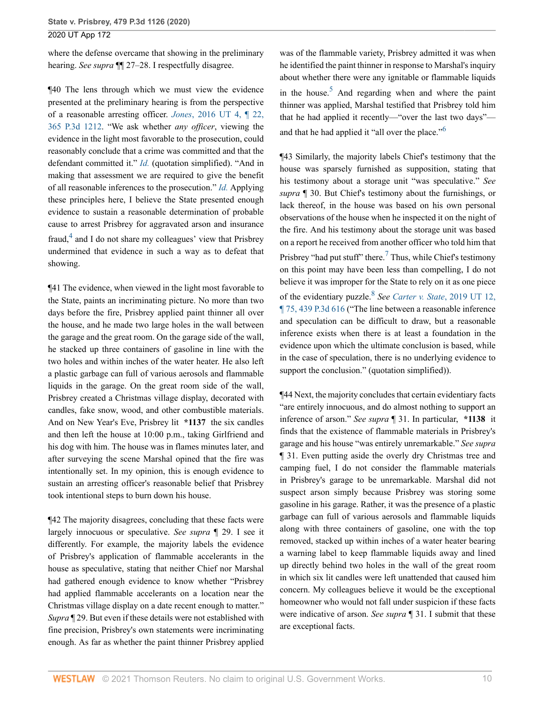where the defense overcame that showing in the preliminary hearing. *See supra* ¶¶ 27–28. I respectfully disagree.

¶40 The lens through which we must view the evidence presented at the preliminary hearing is from the perspective of a reasonable arresting officer. *Jones*[, 2016 UT 4, ¶ 22,](http://www.westlaw.com/Link/Document/FullText?findType=Y&serNum=2037982437&pubNum=0004645&originatingDoc=Iebcd7750461911eba075d817282e94c2&refType=RP&originationContext=document&vr=3.0&rs=cblt1.0&transitionType=DocumentItem&contextData=(sc.Search)) [365 P.3d 1212](http://www.westlaw.com/Link/Document/FullText?findType=Y&serNum=2037982437&pubNum=0004645&originatingDoc=Iebcd7750461911eba075d817282e94c2&refType=RP&originationContext=document&vr=3.0&rs=cblt1.0&transitionType=DocumentItem&contextData=(sc.Search)). "We ask whether *any officer*, viewing the evidence in the light most favorable to the prosecution, could reasonably conclude that a crime was committed and that the defendant committed it." *[Id.](http://www.westlaw.com/Link/Document/FullText?findType=Y&serNum=2037982437&pubNum=0004649&originatingDoc=Iebcd7750461911eba075d817282e94c2&refType=RP&originationContext=document&vr=3.0&rs=cblt1.0&transitionType=DocumentItem&contextData=(sc.Search))* (quotation simplified). "And in making that assessment we are required to give the benefit of all reasonable inferences to the prosecution." *[Id.](http://www.westlaw.com/Link/Document/FullText?findType=Y&serNum=2037982437&pubNum=0004649&originatingDoc=Iebcd7750461911eba075d817282e94c2&refType=RP&originationContext=document&vr=3.0&rs=cblt1.0&transitionType=DocumentItem&contextData=(sc.Search))* Applying these principles here, I believe the State presented enough evidence to sustain a reasonable determination of probable cause to arrest Prisbrey for aggravated arson and insurance fraud,<sup>[4](#page-37-0)</sup> and I do not share my colleagues' view that Prisbrey undermined that evidence in such a way as to defeat that showing.

<span id="page-35-0"></span>¶41 The evidence, when viewed in the light most favorable to the State, paints an incriminating picture. No more than two days before the fire, Prisbrey applied paint thinner all over the house, and he made two large holes in the wall between the garage and the great room. On the garage side of the wall, he stacked up three containers of gasoline in line with the two holes and within inches of the water heater. He also left a plastic garbage can full of various aerosols and flammable liquids in the garage. On the great room side of the wall, Prisbrey created a Christmas village display, decorated with candles, fake snow, wood, and other combustible materials. And on New Year's Eve, Prisbrey lit **\*1137** the six candles and then left the house at 10:00 p.m., taking Girlfriend and his dog with him. The house was in flames minutes later, and after surveying the scene Marshal opined that the fire was intentionally set. In my opinion, this is enough evidence to sustain an arresting officer's reasonable belief that Prisbrey took intentional steps to burn down his house.

¶42 The majority disagrees, concluding that these facts were largely innocuous or speculative. *See supra* ¶ 29. I see it differently. For example, the majority labels the evidence of Prisbrey's application of flammable accelerants in the house as speculative, stating that neither Chief nor Marshal had gathered enough evidence to know whether "Prisbrey had applied flammable accelerants on a location near the Christmas village display on a date recent enough to matter." *Supra* ¶ 29. But even if these details were not established with fine precision, Prisbrey's own statements were incriminating enough. As far as whether the paint thinner Prisbrey applied <span id="page-35-1"></span>was of the flammable variety, Prisbrey admitted it was when he identified the paint thinner in response to Marshal's inquiry about whether there were any ignitable or flammable liquids in the house.<sup>[5](#page-37-1)</sup> And regarding when and where the paint thinner was applied, Marshal testified that Prisbrey told him that he had applied it recently—"over the last two days"— and that he had applied it "all over the place."<sup>[6](#page-37-2)</sup>

<span id="page-35-3"></span><span id="page-35-2"></span>¶43 Similarly, the majority labels Chief's testimony that the house was sparsely furnished as supposition, stating that his testimony about a storage unit "was speculative." *See supra* ¶ 30. But Chief's testimony about the furnishings, or lack thereof, in the house was based on his own personal observations of the house when he inspected it on the night of the fire. And his testimony about the storage unit was based on a report he received from another officer who told him that Prisbrey "had put stuff" there. $\frac{7}{1}$  $\frac{7}{1}$  $\frac{7}{1}$  Thus, while Chief's testimony on this point may have been less than compelling, I do not believe it was improper for the State to rely on it as one piece of the evidentiary puzzle.[8](#page-37-4) *See [Carter v. State](http://www.westlaw.com/Link/Document/FullText?findType=Y&serNum=2047838126&pubNum=0004645&originatingDoc=Iebcd7750461911eba075d817282e94c2&refType=RP&originationContext=document&vr=3.0&rs=cblt1.0&transitionType=DocumentItem&contextData=(sc.Search))*, 2019 UT 12, [¶ 75, 439 P.3d 616](http://www.westlaw.com/Link/Document/FullText?findType=Y&serNum=2047838126&pubNum=0004645&originatingDoc=Iebcd7750461911eba075d817282e94c2&refType=RP&originationContext=document&vr=3.0&rs=cblt1.0&transitionType=DocumentItem&contextData=(sc.Search)) ("The line between a reasonable inference and speculation can be difficult to draw, but a reasonable inference exists when there is at least a foundation in the evidence upon which the ultimate conclusion is based, while in the case of speculation, there is no underlying evidence to support the conclusion." (quotation simplified)).

<span id="page-35-4"></span>¶44 Next, the majority concludes that certain evidentiary facts "are entirely innocuous, and do almost nothing to support an inference of arson." *See supra* ¶ 31. In particular, **\*1138** it finds that the existence of flammable materials in Prisbrey's garage and his house "was entirely unremarkable." *See supra* ¶ 31. Even putting aside the overly dry Christmas tree and camping fuel, I do not consider the flammable materials in Prisbrey's garage to be unremarkable. Marshal did not suspect arson simply because Prisbrey was storing some gasoline in his garage. Rather, it was the presence of a plastic garbage can full of various aerosols and flammable liquids along with three containers of gasoline, one with the top removed, stacked up within inches of a water heater bearing a warning label to keep flammable liquids away and lined up directly behind two holes in the wall of the great room in which six lit candles were left unattended that caused him concern. My colleagues believe it would be the exceptional homeowner who would not fall under suspicion if these facts were indicative of arson. *See supra* ¶ 31. I submit that these are exceptional facts.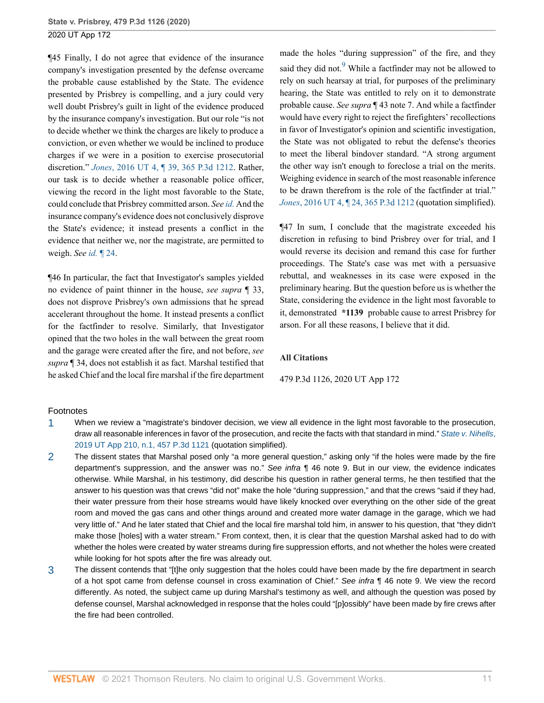¶45 Finally, I do not agree that evidence of the insurance company's investigation presented by the defense overcame the probable cause established by the State. The evidence presented by Prisbrey is compelling, and a jury could very well doubt Prisbrey's guilt in light of the evidence produced by the insurance company's investigation. But our role "is not to decide whether we think the charges are likely to produce a conviction, or even whether we would be inclined to produce charges if we were in a position to exercise prosecutorial discretion." *Jones*[, 2016 UT 4, ¶ 39, 365 P.3d 1212.](http://www.westlaw.com/Link/Document/FullText?findType=Y&serNum=2037982437&pubNum=0004645&originatingDoc=Iebcd7750461911eba075d817282e94c2&refType=RP&originationContext=document&vr=3.0&rs=cblt1.0&transitionType=DocumentItem&contextData=(sc.Search)) Rather, our task is to decide whether a reasonable police officer, viewing the record in the light most favorable to the State, could conclude that Prisbrey committed arson. *See [id.](http://www.westlaw.com/Link/Document/FullText?findType=Y&serNum=2037982437&pubNum=0004649&originatingDoc=Iebcd7750461911eba075d817282e94c2&refType=RP&originationContext=document&vr=3.0&rs=cblt1.0&transitionType=DocumentItem&contextData=(sc.Search))* And the insurance company's evidence does not conclusively disprove the State's evidence; it instead presents a conflict in the evidence that neither we, nor the magistrate, are permitted to weigh. *See id.* [¶ 24.](http://www.westlaw.com/Link/Document/FullText?findType=Y&serNum=2037982437&pubNum=0004649&originatingDoc=Iebcd7750461911eba075d817282e94c2&refType=RP&originationContext=document&vr=3.0&rs=cblt1.0&transitionType=DocumentItem&contextData=(sc.Search))

¶46 In particular, the fact that Investigator's samples yielded no evidence of paint thinner in the house, *see supra* ¶ 33, does not disprove Prisbrey's own admissions that he spread accelerant throughout the home. It instead presents a conflict for the factfinder to resolve. Similarly, that Investigator opined that the two holes in the wall between the great room and the garage were created after the fire, and not before, *see supra* ¶ 34, does not establish it as fact. Marshal testified that he asked Chief and the local fire marshal if the fire department <span id="page-36-3"></span>made the holes "during suppression" of the fire, and they said they did not.<sup>[9](#page-37-5)</sup> While a factfinder may not be allowed to rely on such hearsay at trial, for purposes of the preliminary hearing, the State was entitled to rely on it to demonstrate probable cause. *See supra* ¶ 43 note 7. And while a factfinder would have every right to reject the firefighters' recollections in favor of Investigator's opinion and scientific investigation, the State was not obligated to rebut the defense's theories to meet the liberal bindover standard. "A strong argument the other way isn't enough to foreclose a trial on the merits. Weighing evidence in search of the most reasonable inference to be drawn therefrom is the role of the factfinder at trial." *Jones*[, 2016 UT 4, ¶ 24, 365 P.3d 1212](http://www.westlaw.com/Link/Document/FullText?findType=Y&serNum=2037982437&pubNum=0004645&originatingDoc=Iebcd7750461911eba075d817282e94c2&refType=RP&originationContext=document&vr=3.0&rs=cblt1.0&transitionType=DocumentItem&contextData=(sc.Search)) (quotation simplified).

¶47 In sum, I conclude that the magistrate exceeded his discretion in refusing to bind Prisbrey over for trial, and I would reverse its decision and remand this case for further proceedings. The State's case was met with a persuasive rebuttal, and weaknesses in its case were exposed in the preliminary hearing. But the question before us is whether the State, considering the evidence in the light most favorable to it, demonstrated **\*1139** probable cause to arrest Prisbrey for arson. For all these reasons, I believe that it did.

#### **All Citations**

#### 479 P.3d 1126, 2020 UT App 172

#### Footnotes

- <span id="page-36-0"></span>[1](#page-28-5) When we review a "magistrate's bindover decision, we view all evidence in the light most favorable to the prosecution, draw all reasonable inferences in favor of the prosecution, and recite the facts with that standard in mind." [State v. Nihells](http://www.westlaw.com/Link/Document/FullText?findType=Y&serNum=2049941802&pubNum=0004645&originatingDoc=Iebcd7750461911eba075d817282e94c2&refType=RP&originationContext=document&vr=3.0&rs=cblt1.0&transitionType=DocumentItem&contextData=(sc.Search)), [2019 UT App 210, n.1, 457 P.3d 1121](http://www.westlaw.com/Link/Document/FullText?findType=Y&serNum=2049941802&pubNum=0004645&originatingDoc=Iebcd7750461911eba075d817282e94c2&refType=RP&originationContext=document&vr=3.0&rs=cblt1.0&transitionType=DocumentItem&contextData=(sc.Search)) (quotation simplified).
- <span id="page-36-1"></span>[2](#page-30-0) The dissent states that Marshal posed only "a more general question," asking only "if the holes were made by the fire department's suppression, and the answer was no." See infra ¶ 46 note 9. But in our view, the evidence indicates otherwise. While Marshal, in his testimony, did describe his question in rather general terms, he then testified that the answer to his question was that crews "did not" make the hole "during suppression," and that the crews "said if they had, their water pressure from their hose streams would have likely knocked over everything on the other side of the great room and moved the gas cans and other things around and created more water damage in the garage, which we had very little of." And he later stated that Chief and the local fire marshal told him, in answer to his question, that "they didn't make those [holes] with a water stream." From context, then, it is clear that the question Marshal asked had to do with whether the holes were created by water streams during fire suppression efforts, and not whether the holes were created while looking for hot spots after the fire was already out.
- <span id="page-36-2"></span>[3](#page-30-1) The dissent contends that "[t]he only suggestion that the holes could have been made by the fire department in search of a hot spot came from defense counsel in cross examination of Chief." See infra ¶ 46 note 9. We view the record differently. As noted, the subject came up during Marshal's testimony as well, and although the question was posed by defense counsel, Marshal acknowledged in response that the holes could "[p]ossibly" have been made by fire crews after the fire had been controlled.